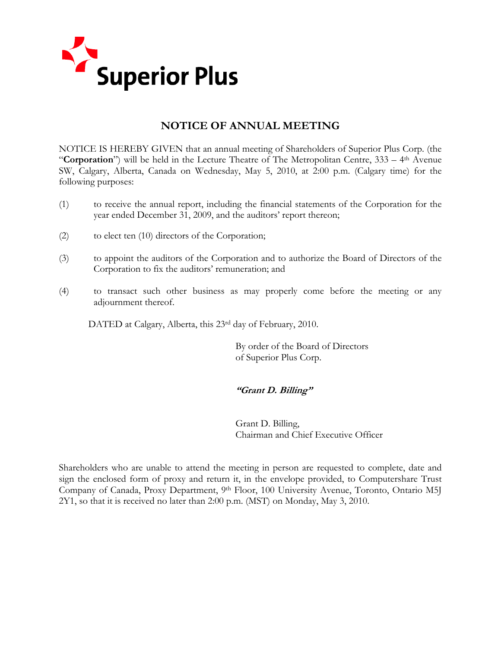

# **NOTICE OF ANNUAL MEETING**

NOTICE IS HEREBY GIVEN that an annual meeting of Shareholders of Superior Plus Corp. (the "**Corporation**") will be held in the Lecture Theatre of The Metropolitan Centre, 333 – 4th Avenue SW, Calgary, Alberta, Canada on Wednesday, May 5, 2010, at 2:00 p.m. (Calgary time) for the following purposes:

- (1) to receive the annual report, including the financial statements of the Corporation for the year ended December 31, 2009, and the auditors' report thereon;
- (2) to elect ten (10) directors of the Corporation;
- (3) to appoint the auditors of the Corporation and to authorize the Board of Directors of the Corporation to fix the auditors' remuneration; and
- (4) to transact such other business as may properly come before the meeting or any adjournment thereof.

DATED at Calgary, Alberta, this 23<sup>rd</sup> day of February, 2010.

 By order of the Board of Directors of Superior Plus Corp.

### **"Grant D. Billing"**

Grant D. Billing, Chairman and Chief Executive Officer

Shareholders who are unable to attend the meeting in person are requested to complete, date and sign the enclosed form of proxy and return it, in the envelope provided, to Computershare Trust Company of Canada, Proxy Department, 9th Floor, 100 University Avenue, Toronto, Ontario M5J 2Y1, so that it is received no later than 2:00 p.m. (MST) on Monday, May 3, 2010.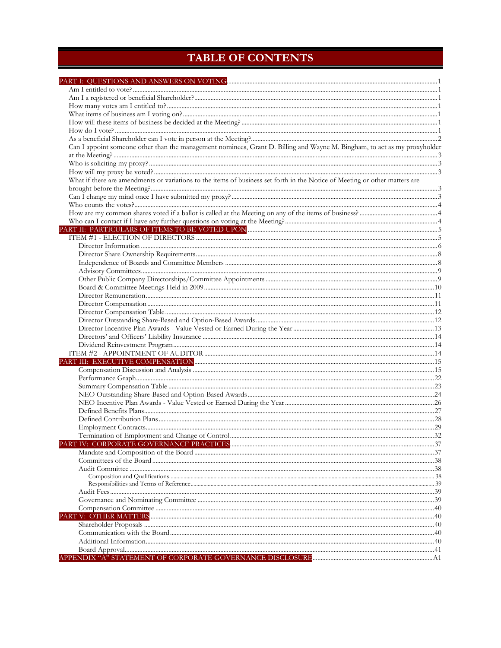# **TABLE OF CONTENTS**

| Can I appoint someone other than the management nominees, Grant D. Billing and Wayne M. Bingham, to act as my proxyholder   |  |
|-----------------------------------------------------------------------------------------------------------------------------|--|
|                                                                                                                             |  |
|                                                                                                                             |  |
|                                                                                                                             |  |
| What if there are amendments or variations to the items of business set forth in the Notice of Meeting or other matters are |  |
|                                                                                                                             |  |
|                                                                                                                             |  |
|                                                                                                                             |  |
|                                                                                                                             |  |
|                                                                                                                             |  |
|                                                                                                                             |  |
|                                                                                                                             |  |
|                                                                                                                             |  |
|                                                                                                                             |  |
|                                                                                                                             |  |
|                                                                                                                             |  |
|                                                                                                                             |  |
|                                                                                                                             |  |
|                                                                                                                             |  |
|                                                                                                                             |  |
|                                                                                                                             |  |
|                                                                                                                             |  |
|                                                                                                                             |  |
|                                                                                                                             |  |
|                                                                                                                             |  |
|                                                                                                                             |  |
|                                                                                                                             |  |
|                                                                                                                             |  |
|                                                                                                                             |  |
|                                                                                                                             |  |
|                                                                                                                             |  |
|                                                                                                                             |  |
|                                                                                                                             |  |
|                                                                                                                             |  |
|                                                                                                                             |  |
|                                                                                                                             |  |
|                                                                                                                             |  |
|                                                                                                                             |  |
|                                                                                                                             |  |
|                                                                                                                             |  |
|                                                                                                                             |  |
|                                                                                                                             |  |
|                                                                                                                             |  |
|                                                                                                                             |  |
|                                                                                                                             |  |
|                                                                                                                             |  |
|                                                                                                                             |  |
|                                                                                                                             |  |
|                                                                                                                             |  |
|                                                                                                                             |  |
|                                                                                                                             |  |
|                                                                                                                             |  |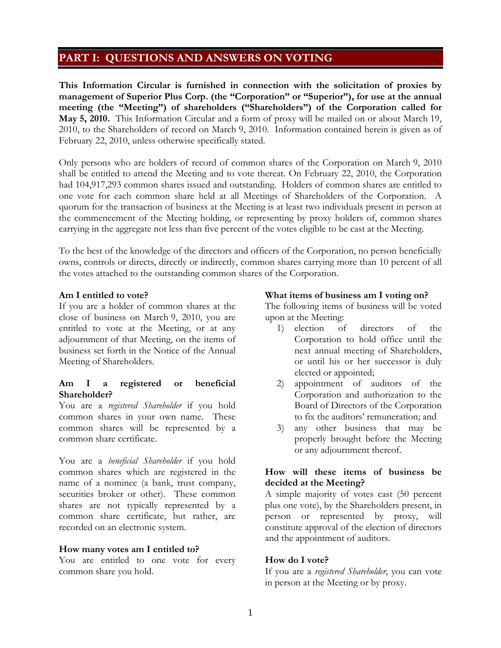# **PART I: QUESTIONS AND ANSWERS ON VOTING**

**This Information Circular is furnished in connection with the solicitation of proxies by management of Superior Plus Corp. (the "Corporation" or "Superior"), for use at the annual meeting (the "Meeting") of shareholders ("Shareholders") of the Corporation called for May 5, 2010.** This Information Circular and a form of proxy will be mailed on or about March 19, 2010, to the Shareholders of record on March 9, 2010. Information contained herein is given as of February 22, 2010, unless otherwise specifically stated.

Only persons who are holders of record of common shares of the Corporation on March 9, 2010 shall be entitled to attend the Meeting and to vote thereat. On February 22, 2010, the Corporation had 104,917,293 common shares issued and outstanding. Holders of common shares are entitled to one vote for each common share held at all Meetings of Shareholders of the Corporation. A quorum for the transaction of business at the Meeting is at least two individuals present in person at the commencement of the Meeting holding, or representing by proxy holders of, common shares carrying in the aggregate not less than five percent of the votes eligible to be cast at the Meeting.

To the best of the knowledge of the directors and officers of the Corporation, no person beneficially owns, controls or directs, directly or indirectly, common shares carrying more than 10 percent of all the votes attached to the outstanding common shares of the Corporation.

### **Am I entitled to vote?**

If you are a holder of common shares at the close of business on March 9, 2010, you are entitled to vote at the Meeting, or at any adjournment of that Meeting, on the items of business set forth in the Notice of the Annual Meeting of Shareholders.

### **Am I a registered or beneficial Shareholder?**

You are a *registered Shareholder* if you hold common shares in your own name. These common shares will be represented by a common share certificate.

You are a *beneficial Shareholder* if you hold common shares which are registered in the name of a nominee (a bank, trust company, securities broker or other). These common shares are not typically represented by a common share certificate, but rather, are recorded on an electronic system.

### **How many votes am I entitled to?**

You are entitled to one vote for every common share you hold.

### **What items of business am I voting on?**

The following items of business will be voted upon at the Meeting:

- 1) election of directors of the Corporation to hold office until the next annual meeting of Shareholders, or until his or her successor is duly elected or appointed;
- 2) appointment of auditors of the Corporation and authorization to the Board of Directors of the Corporation to fix the auditors' remuneration; and
- 3) any other business that may be properly brought before the Meeting or any adjournment thereof.

### **How will these items of business be decided at the Meeting?**

A simple majority of votes cast (50 percent plus one vote), by the Shareholders present, in person or represented by proxy, will constitute approval of the election of directors and the appointment of auditors.

### **How do I vote?**

If you are a *registered Shareholder*, you can vote in person at the Meeting or by proxy.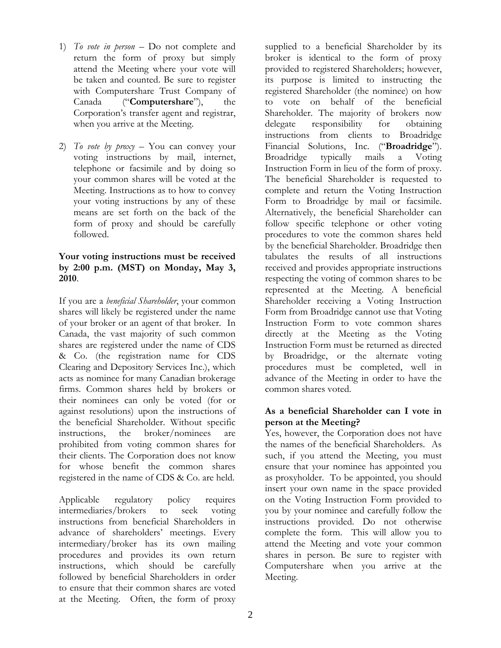- 1) *To vote in person*  Do not complete and return the form of proxy but simply attend the Meeting where your vote will be taken and counted. Be sure to register with Computershare Trust Company of Canada ("**Computershare**"), the Corporation's transfer agent and registrar, when you arrive at the Meeting.
- 2) *To vote by proxy*  You can convey your voting instructions by mail, internet, telephone or facsimile and by doing so your common shares will be voted at the Meeting. Instructions as to how to convey your voting instructions by any of these means are set forth on the back of the form of proxy and should be carefully followed.

### **Your voting instructions must be received by 2:00 p.m. (MST) on Monday, May 3, 2010**.

If you are a *beneficial Shareholder*, your common shares will likely be registered under the name of your broker or an agent of that broker. In Canada, the vast majority of such common shares are registered under the name of CDS & Co. (the registration name for CDS Clearing and Depository Services Inc.), which acts as nominee for many Canadian brokerage firms. Common shares held by brokers or their nominees can only be voted (for or against resolutions) upon the instructions of the beneficial Shareholder. Without specific instructions, the broker/nominees are prohibited from voting common shares for their clients. The Corporation does not know for whose benefit the common shares registered in the name of CDS & Co. are held.

Applicable regulatory policy requires intermediaries/brokers to seek voting instructions from beneficial Shareholders in advance of shareholders' meetings. Every intermediary/broker has its own mailing procedures and provides its own return instructions, which should be carefully followed by beneficial Shareholders in order to ensure that their common shares are voted at the Meeting. Often, the form of proxy

supplied to a beneficial Shareholder by its broker is identical to the form of proxy provided to registered Shareholders; however, its purpose is limited to instructing the registered Shareholder (the nominee) on how to vote on behalf of the beneficial Shareholder. The majority of brokers now delegate responsibility for obtaining instructions from clients to Broadridge Financial Solutions, Inc. ("**Broadridge**"). Broadridge typically mails a Voting Instruction Form in lieu of the form of proxy. The beneficial Shareholder is requested to complete and return the Voting Instruction Form to Broadridge by mail or facsimile. Alternatively, the beneficial Shareholder can follow specific telephone or other voting procedures to vote the common shares held by the beneficial Shareholder. Broadridge then tabulates the results of all instructions received and provides appropriate instructions respecting the voting of common shares to be represented at the Meeting. A beneficial Shareholder receiving a Voting Instruction Form from Broadridge cannot use that Voting Instruction Form to vote common shares directly at the Meeting as the Voting Instruction Form must be returned as directed by Broadridge, or the alternate voting procedures must be completed, well in advance of the Meeting in order to have the common shares voted.

### **As a beneficial Shareholder can I vote in person at the Meeting?**

Yes, however, the Corporation does not have the names of the beneficial Shareholders. As such, if you attend the Meeting, you must ensure that your nominee has appointed you as proxyholder. To be appointed, you should insert your own name in the space provided on the Voting Instruction Form provided to you by your nominee and carefully follow the instructions provided. Do not otherwise complete the form. This will allow you to attend the Meeting and vote your common shares in person. Be sure to register with Computershare when you arrive at the Meeting.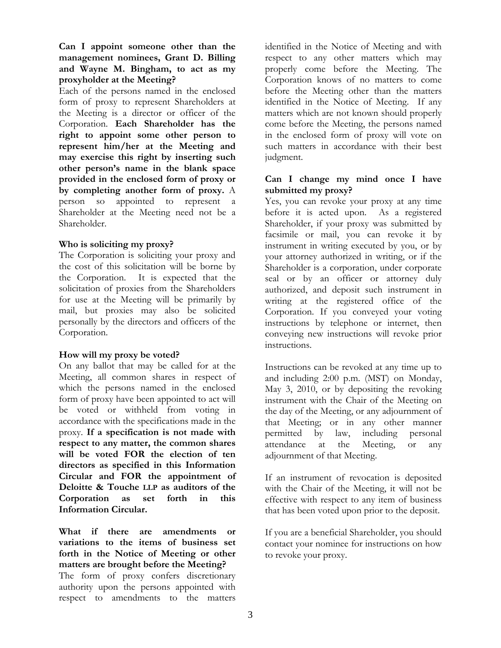**Can I appoint someone other than the management nominees, Grant D. Billing and Wayne M. Bingham, to act as my proxyholder at the Meeting?**

Each of the persons named in the enclosed form of proxy to represent Shareholders at the Meeting is a director or officer of the Corporation. **Each Shareholder has the right to appoint some other person to represent him/her at the Meeting and may exercise this right by inserting such other person's name in the blank space provided in the enclosed form of proxy or by completing another form of proxy.** A person so appointed to represent a Shareholder at the Meeting need not be a Shareholder.

### **Who is soliciting my proxy?**

The Corporation is soliciting your proxy and the cost of this solicitation will be borne by the Corporation. It is expected that the solicitation of proxies from the Shareholders for use at the Meeting will be primarily by mail, but proxies may also be solicited personally by the directors and officers of the Corporation.

### **How will my proxy be voted?**

On any ballot that may be called for at the Meeting, all common shares in respect of which the persons named in the enclosed form of proxy have been appointed to act will be voted or withheld from voting in accordance with the specifications made in the proxy. **If a specification is not made with respect to any matter, the common shares will be voted FOR the election of ten directors as specified in this Information Circular and FOR the appointment of Deloitte & Touche LLP as auditors of the Corporation as set forth in this Information Circular.** 

**What if there are amendments or variations to the items of business set forth in the Notice of Meeting or other matters are brought before the Meeting?** The form of proxy confers discretionary authority upon the persons appointed with respect to amendments to the matters

identified in the Notice of Meeting and with respect to any other matters which may properly come before the Meeting. The Corporation knows of no matters to come before the Meeting other than the matters identified in the Notice of Meeting. If any matters which are not known should properly come before the Meeting, the persons named in the enclosed form of proxy will vote on such matters in accordance with their best judgment.

### **Can I change my mind once I have submitted my proxy?**

Yes, you can revoke your proxy at any time before it is acted upon. As a registered Shareholder, if your proxy was submitted by facsimile or mail, you can revoke it by instrument in writing executed by you, or by your attorney authorized in writing, or if the Shareholder is a corporation, under corporate seal or by an officer or attorney duly authorized, and deposit such instrument in writing at the registered office of the Corporation. If you conveyed your voting instructions by telephone or internet, then conveying new instructions will revoke prior instructions.

Instructions can be revoked at any time up to and including 2:00 p.m. (MST) on Monday, May 3, 2010, or by depositing the revoking instrument with the Chair of the Meeting on the day of the Meeting, or any adjournment of that Meeting; or in any other manner permitted by law, including personal attendance at the Meeting, or any adjournment of that Meeting.

If an instrument of revocation is deposited with the Chair of the Meeting, it will not be effective with respect to any item of business that has been voted upon prior to the deposit.

If you are a beneficial Shareholder, you should contact your nominee for instructions on how to revoke your proxy.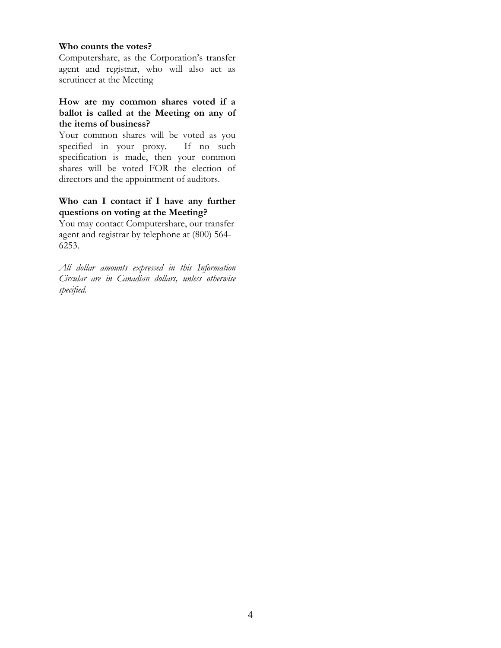#### **Who counts the votes?**

Computershare, as the Corporation's transfer agent and registrar, who will also act as scrutineer at the Meeting

### **How are my common shares voted if a ballot is called at the Meeting on any of the items of business?**

Your common shares will be voted as you specified in your proxy. If no such specification is made, then your common shares will be voted FOR the election of directors and the appointment of auditors.

### **Who can I contact if I have any further questions on voting at the Meeting?**

You may contact Computershare, our transfer agent and registrar by telephone at (800) 564- 6253.

*All dollar amounts expressed in this Information Circular are in Canadian dollars, unless otherwise specified.*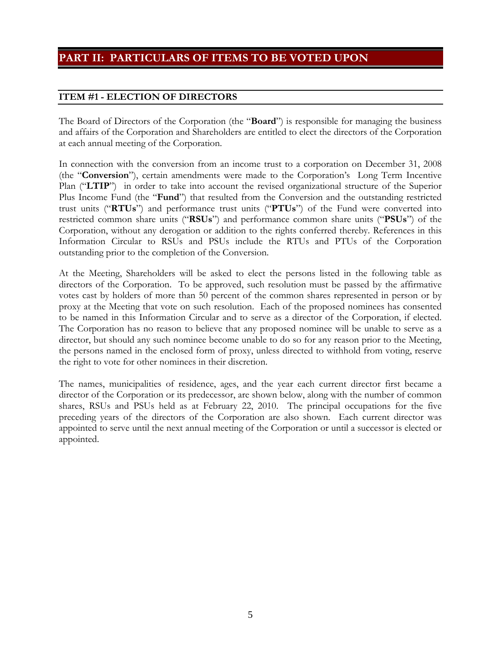# **PART II: PARTICULARS OF ITEMS TO BE VOTED UPON**

## **ITEM #1 - ELECTION OF DIRECTORS**

The Board of Directors of the Corporation (the "**Board**") is responsible for managing the business and affairs of the Corporation and Shareholders are entitled to elect the directors of the Corporation at each annual meeting of the Corporation.

In connection with the conversion from an income trust to a corporation on December 31, 2008 (the "**Conversion**"), certain amendments were made to the Corporation's Long Term Incentive Plan ("**LTIP**") in order to take into account the revised organizational structure of the Superior Plus Income Fund (the "**Fund**") that resulted from the Conversion and the outstanding restricted trust units ("**RTUs**") and performance trust units ("**PTUs**") of the Fund were converted into restricted common share units ("**RSUs**") and performance common share units ("**PSUs**") of the Corporation, without any derogation or addition to the rights conferred thereby. References in this Information Circular to RSUs and PSUs include the RTUs and PTUs of the Corporation outstanding prior to the completion of the Conversion.

At the Meeting, Shareholders will be asked to elect the persons listed in the following table as directors of the Corporation. To be approved, such resolution must be passed by the affirmative votes cast by holders of more than 50 percent of the common shares represented in person or by proxy at the Meeting that vote on such resolution. Each of the proposed nominees has consented to be named in this Information Circular and to serve as a director of the Corporation, if elected. The Corporation has no reason to believe that any proposed nominee will be unable to serve as a director, but should any such nominee become unable to do so for any reason prior to the Meeting, the persons named in the enclosed form of proxy, unless directed to withhold from voting, reserve the right to vote for other nominees in their discretion.

The names, municipalities of residence, ages, and the year each current director first became a director of the Corporation or its predecessor, are shown below, along with the number of common shares, RSUs and PSUs held as at February 22, 2010. The principal occupations for the five preceding years of the directors of the Corporation are also shown.Each current director was appointed to serve until the next annual meeting of the Corporation or until a successor is elected or appointed.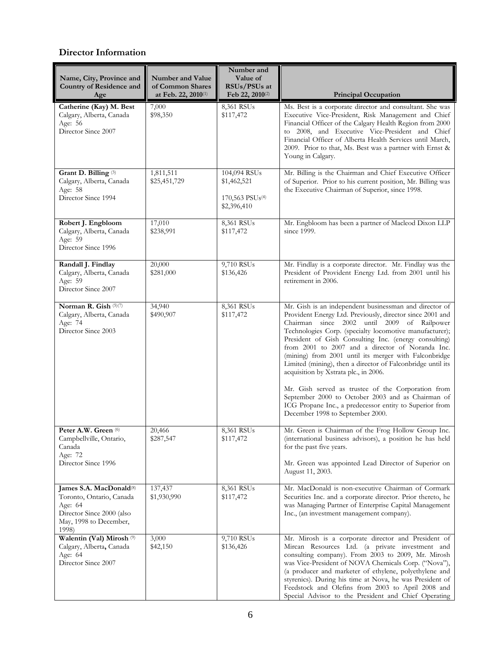### **Director Information**

| Name, City, Province and<br><b>Country of Residence and</b><br>Age                                                                         | <b>Number and Value</b><br>of Common Shares<br>at Feb. 22, 2010(1) | Number and<br>Value of<br>RSUs/PSUs at<br>Feb 22, 2010 <sup>(2)</sup>      | <b>Principal Occupation</b>                                                                                                                                                                                                                                                                                                                                                                                                                                                                                                                                                                                                                                                                                           |
|--------------------------------------------------------------------------------------------------------------------------------------------|--------------------------------------------------------------------|----------------------------------------------------------------------------|-----------------------------------------------------------------------------------------------------------------------------------------------------------------------------------------------------------------------------------------------------------------------------------------------------------------------------------------------------------------------------------------------------------------------------------------------------------------------------------------------------------------------------------------------------------------------------------------------------------------------------------------------------------------------------------------------------------------------|
| Catherine (Kay) M. Best<br>Calgary, Alberta, Canada<br>Age: 56<br>Director Since 2007                                                      | 7,000<br>\$98,350                                                  | 8,361 RSUs<br>\$117,472                                                    | Ms. Best is a corporate director and consultant. She was<br>Executive Vice-President, Risk Management and Chief<br>Financial Officer of the Calgary Health Region from 2000<br>to 2008, and Executive Vice-President and Chief<br>Financial Officer of Alberta Health Services until March,<br>2009. Prior to that, Ms. Best was a partner with Ernst &<br>Young in Calgary.                                                                                                                                                                                                                                                                                                                                          |
| Grant D. Billing <sup>(3)</sup><br>Calgary, Alberta, Canada<br>Age: 58<br>Director Since 1994                                              | 1,811,511<br>\$25,451,729                                          | 104,094 RSUs<br>\$1,462,521<br>170,563 PSU <sub>s</sub> (4)<br>\$2,396,410 | Mr. Billing is the Chairman and Chief Executive Officer<br>of Superior. Prior to his current position, Mr. Billing was<br>the Executive Chairman of Superior, since 1998.                                                                                                                                                                                                                                                                                                                                                                                                                                                                                                                                             |
| Robert J. Engbloom<br>Calgary, Alberta, Canada<br>Age: 59<br>Director Since 1996                                                           | 17,010<br>\$238,991                                                | 8,361 RSUs<br>\$117,472                                                    | Mr. Engbloom has been a partner of Macleod Dixon LLP<br>since 1999.                                                                                                                                                                                                                                                                                                                                                                                                                                                                                                                                                                                                                                                   |
| Randall J. Findlay<br>Calgary, Alberta, Canada<br>Age: 59<br>Director Since 2007                                                           | 20,000<br>\$281,000                                                | 9,710 RSUs<br>\$136,426                                                    | Mr. Findlay is a corporate director. Mr. Findlay was the<br>President of Provident Energy Ltd. from 2001 until his<br>retirement in 2006.                                                                                                                                                                                                                                                                                                                                                                                                                                                                                                                                                                             |
| Norman R. Gish (5)(7)<br>Calgary, Alberta, Canada<br>Age: 74<br>Director Since 2003                                                        | 34,940<br>\$490,907                                                | 8,361 RSUs<br>\$117,472                                                    | Mr. Gish is an independent businessman and director of<br>Provident Energy Ltd. Previously, director since 2001 and<br>Chairman since 2002 until 2009 of Railpower<br>Technologies Corp. (specialty locomotive manufacturer);<br>President of Gish Consulting Inc. (energy consulting)<br>from 2001 to 2007 and a director of Noranda Inc.<br>(mining) from 2001 until its merger with Falconbridge<br>Limited (mining), then a director of Falconbridge until its<br>acquisition by Xstrata plc., in 2006.<br>Mr. Gish served as trustee of the Corporation from<br>September 2000 to October 2003 and as Chairman of<br>ICG Propane Inc., a predecessor entity to Superior from<br>December 1998 to September 2000. |
| Peter A.W. Green (6)<br>Campbellville, Ontario,<br>Canada<br>Age: 72<br>Director Since 1996                                                | 20,466<br>\$287,547                                                | 8,361 RSUs<br>\$117,472                                                    | Mr. Green is Chairman of the Frog Hollow Group Inc.<br>(international business advisors), a position he has held<br>for the past five years.<br>Mr. Green was appointed Lead Director of Superior on<br>August 11, 2003.                                                                                                                                                                                                                                                                                                                                                                                                                                                                                              |
| James S.A. MacDonald <sup>(8)</sup><br>Toronto, Ontario, Canada<br>Age: 64<br>Director Since 2000 (also<br>May, 1998 to December,<br>1998) | 137,437<br>\$1,930,990                                             | 8,361 RSUs<br>\$117,472                                                    | Mr. MacDonald is non-executive Chairman of Cormark<br>Securities Inc. and a corporate director. Prior thereto, he<br>was Managing Partner of Enterprise Capital Management<br>Inc., (an investment management company).                                                                                                                                                                                                                                                                                                                                                                                                                                                                                               |
| Walentin (Val) Mirosh <sup>(9)</sup><br>Calgary, Alberta, Canada<br>Age: 64<br>Director Since 2007                                         | 3,000<br>\$42,150                                                  | 9,710 RSUs<br>\$136,426                                                    | Mr. Mirosh is a corporate director and President of<br>Mircan Resources Ltd. (a private investment and<br>consulting company). From 2003 to 2009, Mr. Mirosh<br>was Vice-President of NOVA Chemicals Corp. ("Nova"),<br>(a producer and marketer of ethylene, polyethylene and<br>styrenics). During his time at Nova, he was President of<br>Feedstock and Olefins from 2003 to April 2008 and<br>Special Advisor to the President and Chief Operating                                                                                                                                                                                                                                                               |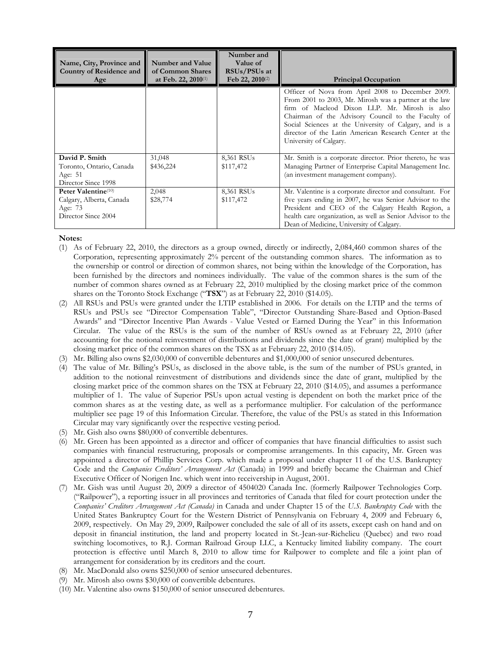| Name, City, Province and<br><b>Country of Residence and</b><br>Age                | Number and Value<br>of Common Shares<br>at Feb. 22, 2010(1) | Number and<br>Value of<br>RSUs/PSUs at<br>Feb 22, 2010 <sup>(2)</sup> | <b>Principal Occupation</b>                                                                                                                                                                                                                                                                                                                                     |
|-----------------------------------------------------------------------------------|-------------------------------------------------------------|-----------------------------------------------------------------------|-----------------------------------------------------------------------------------------------------------------------------------------------------------------------------------------------------------------------------------------------------------------------------------------------------------------------------------------------------------------|
|                                                                                   |                                                             |                                                                       | Officer of Nova from April 2008 to December 2009.<br>From 2001 to 2003, Mr. Mirosh was a partner at the law<br>firm of Macleod Dixon LLP. Mr. Mirosh is also<br>Chairman of the Advisory Council to the Faculty of<br>Social Sciences at the University of Calgary, and is a<br>director of the Latin American Research Center at the<br>University of Calgary. |
| David P. Smith<br>Toronto, Ontario, Canada<br>Age: 51<br>Director Since 1998      | 31,048<br>\$436,224                                         | 8,361 RSUs<br>\$117,472                                               | Mr. Smith is a corporate director. Prior thereto, he was<br>Managing Partner of Enterprise Capital Management Inc.<br>(an investment management company).                                                                                                                                                                                                       |
| Peter Valentine(10)<br>Calgary, Alberta, Canada<br>Age: 73<br>Director Since 2004 | 2,048<br>\$28,774                                           | 8,361 RSUs<br>\$117,472                                               | Mr. Valentine is a corporate director and consultant. For<br>five years ending in 2007, he was Senior Advisor to the<br>President and CEO of the Calgary Health Region, a<br>health care organization, as well as Senior Advisor to the<br>Dean of Medicine, University of Calgary.                                                                             |

#### **Notes:**

- (1) As of February 22, 2010, the directors as a group owned, directly or indirectly, 2,084,460 common shares of the Corporation, representing approximately 2% percent of the outstanding common shares. The information as to the ownership or control or direction of common shares, not being within the knowledge of the Corporation, has been furnished by the directors and nominees individually. The value of the common shares is the sum of the number of common shares owned as at February 22, 2010 multiplied by the closing market price of the common shares on the Toronto Stock Exchange ("**TSX**") as at February 22, 2010 (\$14.05).
- (2) All RSUs and PSUs were granted under the LTIP established in 2006. For details on the LTIP and the terms of RSUs and PSUs see "Director Compensation Table", "Director Outstanding Share-Based and Option-Based Awards" and "Director Incentive Plan Awards - Value Vested or Earned During the Year" in this Information Circular. The value of the RSUs is the sum of the number of RSUs owned as at February 22, 2010 (after accounting for the notional reinvestment of distributions and dividends since the date of grant) multiplied by the closing market price of the common shares on the TSX as at February 22, 2010 (\$14.05).
- (3) Mr. Billing also owns \$2,030,000 of convertible debentures and \$1,000,000 of senior unsecured debentures.
- (4) The value of Mr. Billing's PSUs, as disclosed in the above table, is the sum of the number of PSUs granted, in addition to the notional reinvestment of distributions and dividends since the date of grant, multiplied by the closing market price of the common shares on the TSX at February 22, 2010 (\$14.05), and assumes a performance multiplier of 1. The value of Superior PSUs upon actual vesting is dependent on both the market price of the common shares as at the vesting date, as well as a performance multiplier. For calculation of the performance multiplier see page 19 of this Information Circular. Therefore, the value of the PSUs as stated in this Information Circular may vary significantly over the respective vesting period.
- (5) Mr. Gish also owns \$80,000 of convertible debentures.
- (6) Mr. Green has been appointed as a director and officer of companies that have financial difficulties to assist such companies with financial restructuring, proposals or compromise arrangements. In this capacity, Mr. Green was appointed a director of Phillip Services Corp. which made a proposal under chapter 11 of the U.S. Bankruptcy Code and the *Companies Creditors' Arrangement Act* (Canada) in 1999 and briefly became the Chairman and Chief Executive Officer of Norigen Inc. which went into receivership in August, 2001.
- (7) Mr. Gish was until August 20, 2009 a director of 4504020 Canada Inc. (formerly Railpower Technologies Corp. ("Railpower"), a reporting issuer in all provinces and territories of Canada that filed for court protection under the *Companies' Creditors Arrangement Act (Canada)* in Canada and under Chapter 15 of the *U.S. Bankruptcy Code* with the United States Bankruptcy Court for the Western District of Pennsylvania on February 4, 2009 and February 6, 2009, respectively. On May 29, 2009, Railpower concluded the sale of all of its assets, except cash on hand and on deposit in financial institution, the land and property located in St.-Jean-sur-Richelieu (Quebec) and two road switching locomotives, to R.J. Corman Railroad Group LLC, a Kentucky limited liability company. The court protection is effective until March 8, 2010 to allow time for Railpower to complete and file a joint plan of arrangement for consideration by its creditors and the court.
- (8) Mr. MacDonald also owns \$250,000 of senior unsecured debentures.
- (9) Mr. Mirosh also owns \$30,000 of convertible debentures.
- (10) Mr. Valentine also owns \$150,000 of senior unsecured debentures.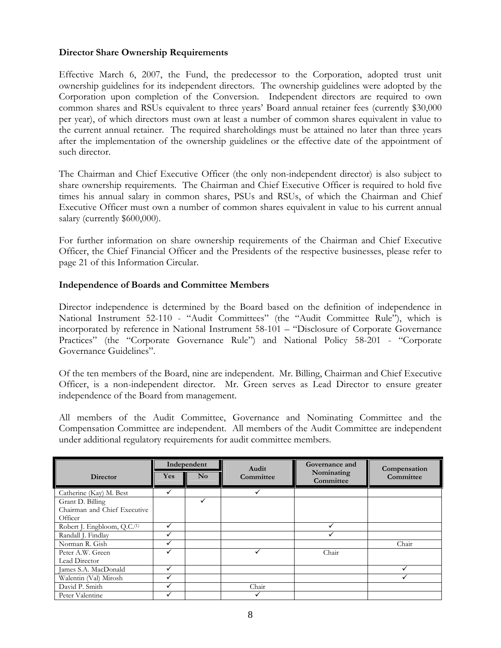### **Director Share Ownership Requirements**

Effective March 6, 2007, the Fund, the predecessor to the Corporation, adopted trust unit ownership guidelines for its independent directors. The ownership guidelines were adopted by the Corporation upon completion of the Conversion. Independent directors are required to own common shares and RSUs equivalent to three years' Board annual retainer fees (currently \$30,000 per year), of which directors must own at least a number of common shares equivalent in value to the current annual retainer. The required shareholdings must be attained no later than three years after the implementation of the ownership guidelines or the effective date of the appointment of such director.

The Chairman and Chief Executive Officer (the only non-independent director) is also subject to share ownership requirements. The Chairman and Chief Executive Officer is required to hold five times his annual salary in common shares, PSUs and RSUs, of which the Chairman and Chief Executive Officer must own a number of common shares equivalent in value to his current annual salary (currently \$600,000).

For further information on share ownership requirements of the Chairman and Chief Executive Officer, the Chief Financial Officer and the Presidents of the respective businesses, please refer to page 21 of this Information Circular.

### **Independence of Boards and Committee Members**

Director independence is determined by the Board based on the definition of independence in National Instrument 52-110 - "Audit Committees" (the "Audit Committee Rule"), which is incorporated by reference in National Instrument 58-101 – "Disclosure of Corporate Governance Practices" (the "Corporate Governance Rule") and National Policy 58-201 - "Corporate Governance Guidelines".

Of the ten members of the Board, nine are independent. Mr. Billing, Chairman and Chief Executive Officer, is a non-independent director. Mr. Green serves as Lead Director to ensure greater independence of the Board from management.

All members of the Audit Committee, Governance and Nominating Committee and the Compensation Committee are independent. All members of the Audit Committee are independent under additional regulatory requirements for audit committee members.

|                                         | Independent |                        | Audit     | Governance and          | Compensation |
|-----------------------------------------|-------------|------------------------|-----------|-------------------------|--------------|
| <b>Director</b>                         | <b>Yes</b>  | $\mathbf{N}\mathbf{o}$ | Committee | Nominating<br>Committee | Committee    |
| Catherine (Kay) M. Best                 |             |                        |           |                         |              |
| Grant D. Billing                        |             | ✓                      |           |                         |              |
| Chairman and Chief Executive            |             |                        |           |                         |              |
| Officer                                 |             |                        |           |                         |              |
| Robert J. Engbloom, Q.C. <sup>(1)</sup> |             |                        |           |                         |              |
| Randall J. Findlay                      |             |                        |           |                         |              |
| Norman R. Gish                          |             |                        |           |                         | Chair        |
| Peter A.W. Green                        |             |                        |           | Chair                   |              |
| Lead Director                           |             |                        |           |                         |              |
| James S.A. MacDonald                    |             |                        |           |                         |              |
| Walentin (Val) Mirosh                   |             |                        |           |                         |              |
| David P. Smith                          |             |                        | Chair     |                         |              |
| Peter Valentine                         |             |                        |           |                         |              |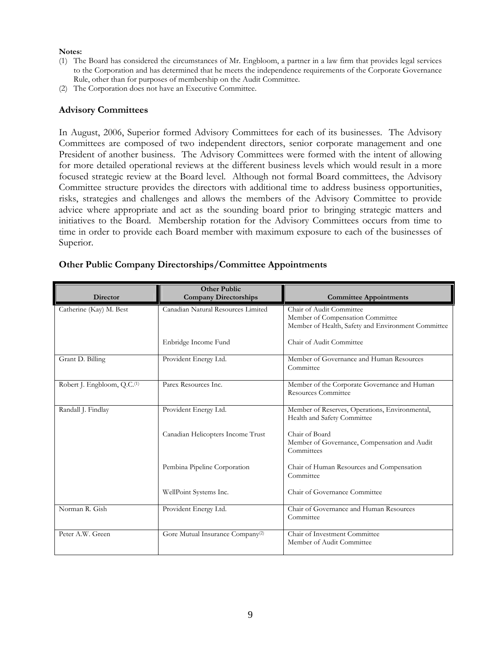#### **Notes:**

- (1) The Board has considered the circumstances of Mr. Engbloom, a partner in a law firm that provides legal services to the Corporation and has determined that he meets the independence requirements of the Corporate Governance Rule, other than for purposes of membership on the Audit Committee.
- (2) The Corporation does not have an Executive Committee.

### **Advisory Committees**

In August, 2006, Superior formed Advisory Committees for each of its businesses. The Advisory Committees are composed of two independent directors, senior corporate management and one President of another business. The Advisory Committees were formed with the intent of allowing for more detailed operational reviews at the different business levels which would result in a more focused strategic review at the Board level. Although not formal Board committees, the Advisory Committee structure provides the directors with additional time to address business opportunities, risks, strategies and challenges and allows the members of the Advisory Committee to provide advice where appropriate and act as the sounding board prior to bringing strategic matters and initiatives to the Board. Membership rotation for the Advisory Committees occurs from time to time in order to provide each Board member with maximum exposure to each of the businesses of Superior.

| <b>Director</b>                         | <b>Other Public</b><br><b>Company Directorships</b> | <b>Committee Appointments</b>                                                                                      |
|-----------------------------------------|-----------------------------------------------------|--------------------------------------------------------------------------------------------------------------------|
| Catherine (Kay) M. Best                 | Canadian Natural Resources Limited                  | Chair of Audit Committee<br>Member of Compensation Committee<br>Member of Health, Safety and Environment Committee |
|                                         | Enbridge Income Fund                                | Chair of Audit Committee                                                                                           |
| Grant D. Billing                        | Provident Energy Ltd.                               | Member of Governance and Human Resources<br>Committee                                                              |
| Robert J. Engbloom, Q.C. <sup>(1)</sup> | Parex Resources Inc.                                | Member of the Corporate Governance and Human<br>Resources Committee                                                |
| Randall J. Findlay                      | Provident Energy Ltd.                               | Member of Reserves, Operations, Environmental,<br>Health and Safety Committee                                      |
|                                         | Canadian Helicopters Income Trust                   | Chair of Board<br>Member of Governance, Compensation and Audit<br>Committees                                       |
|                                         | Pembina Pipeline Corporation                        | Chair of Human Resources and Compensation<br>Committee                                                             |
|                                         | WellPoint Systems Inc.                              | Chair of Governance Committee                                                                                      |
| Norman R. Gish                          | Provident Energy Ltd.                               | Chair of Governance and Human Resources<br>Committee                                                               |
| Peter A.W. Green                        | Gore Mutual Insurance Company <sup>(2)</sup>        | Chair of Investment Committee<br>Member of Audit Committee                                                         |

### **Other Public Company Directorships/Committee Appointments**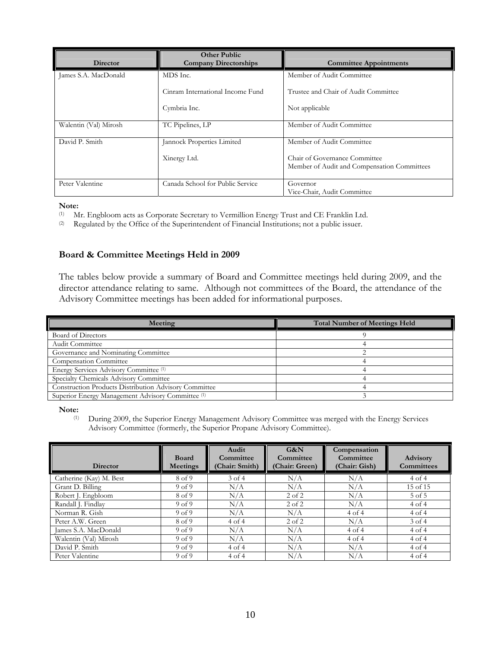| <b>Director</b>       | <b>Other Public</b><br><b>Company Directorships</b> | <b>Committee Appointments</b>                                                |
|-----------------------|-----------------------------------------------------|------------------------------------------------------------------------------|
| James S.A. MacDonald  | MDS Inc.                                            | Member of Audit Committee                                                    |
|                       | Cinram International Income Fund                    | Trustee and Chair of Audit Committee.                                        |
|                       | Cymbria Inc.                                        | Not applicable                                                               |
| Walentin (Val) Mirosh | TC Pipelines, LP                                    | Member of Audit Committee                                                    |
| David P. Smith        | Jannock Properties Limited                          | Member of Audit Committee                                                    |
|                       | Xinergy Ltd.                                        | Chair of Governance Committee<br>Member of Audit and Compensation Committees |
| Peter Valentine       | Canada School for Public Service                    | Governor<br>Vice-Chair, Audit Committee                                      |

#### **Note:**

(1) Mr. Engbloom acts as Corporate Secretary to Vermillion Energy Trust and CE Franklin Ltd.

(2) Regulated by the Office of the Superintendent of Financial Institutions; not a public issuer.

### **Board & Committee Meetings Held in 2009**

The tables below provide a summary of Board and Committee meetings held during 2009, and the director attendance relating to same. Although not committees of the Board, the attendance of the Advisory Committee meetings has been added for informational purposes.

| Meeting                                                      | <b>Total Number of Meetings Held</b> |
|--------------------------------------------------------------|--------------------------------------|
| Board of Directors                                           |                                      |
| Audit Committee                                              |                                      |
| Governance and Nominating Committee                          |                                      |
| Compensation Committee                                       |                                      |
| Energy Services Advisory Committee <sup>(1)</sup>            |                                      |
| Specialty Chemicals Advisory Committee                       |                                      |
| <b>Construction Products Distribution Advisory Committee</b> |                                      |
| Superior Energy Management Advisory Committee (1)            |                                      |

**Note:** (1)

(1) During 2009, the Superior Energy Management Advisory Committee was merged with the Energy Services Advisory Committee (formerly, the Superior Propane Advisory Committee).

|                         | <b>Board</b>      | Audit<br>Committee | G&N<br>Committee | Compensation<br>Committee | <b>Advisory</b>   |
|-------------------------|-------------------|--------------------|------------------|---------------------------|-------------------|
| <b>Director</b>         | Meetings          | (Chair: Smith)     | (Chair: Green)   | (Chair: Gish)             | <b>Committees</b> |
| Catherine (Kay) M. Best | 8 of 9            | $3$ of $4$         | N/A              | N/A                       | 4 of 4            |
| Grant D. Billing        | 9 <sub>of</sub> 9 | N/A                | N/A              | N/A                       | 15 of 15          |
| Robert J. Engbloom      | 8 of 9            | N/A                | $2$ of $2$       | N/A                       | $5$ of $5$        |
| Randall J. Findlay      | 9 <sub>of</sub> 9 | N/A                | $2$ of $2$       | N/A                       | 4 of 4            |
| Norman R. Gish          | 9 <sub>of</sub> 9 | N/A                | N/A              | 4 of 4                    | 4 of 4            |
| Peter A.W. Green        | 8 of 9            | 4 of 4             | $2$ of $2$       | N/A                       | $3$ of 4          |
| James S.A. MacDonald    | 9 <sub>of</sub> 9 | N/A                | N/A              | 4 of 4                    | 4 of 4            |
| Walentin (Val) Mirosh   | 9 <sub>of</sub> 9 | N/A                | N/A              | 4 of 4                    | 4 of 4            |
| David P. Smith          | 9 <sub>of</sub> 9 | 4 of 4             | N/A              | N/A                       | 4 of 4            |
| Peter Valentine         | 9 <sub>of</sub> 9 | 4 of 4             | N/A              | N/A                       | 4 of 4            |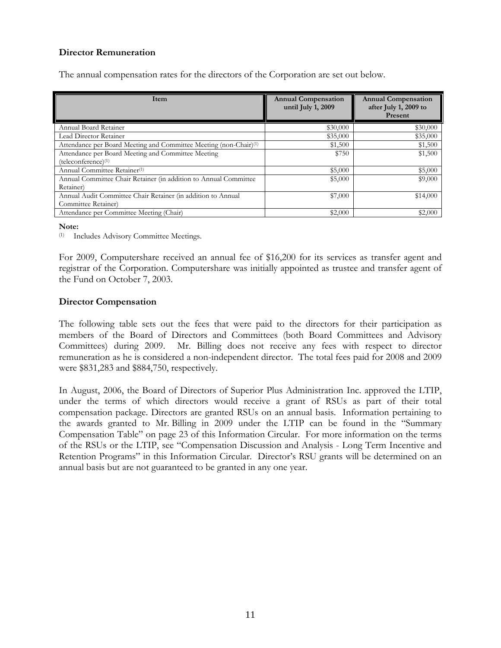### **Director Remuneration**

The annual compensation rates for the directors of the Corporation are set out below.

| Item                                                                                  | <b>Annual Compensation</b><br>until July 1, 2009 | <b>Annual Compensation</b><br>after July 1, 2009 to<br>Present |
|---------------------------------------------------------------------------------------|--------------------------------------------------|----------------------------------------------------------------|
| Annual Board Retainer                                                                 | \$30,000                                         | \$30,000                                                       |
| Lead Director Retainer                                                                | \$35,000                                         | \$35,000                                                       |
| Attendance per Board Meeting and Committee Meeting (non-Chair)(1)                     | \$1,500                                          | \$1,500                                                        |
| Attendance per Board Meeting and Committee Meeting<br>(teleconference) <sup>(1)</sup> | \$750                                            | \$1,500                                                        |
| Annual Committee Retainer <sup>(1)</sup>                                              | \$5,000                                          | \$5,000                                                        |
| Annual Committee Chair Retainer (in addition to Annual Committee<br>Retainer)         | \$5,000                                          | \$9,000                                                        |
| Annual Audit Committee Chair Retainer (in addition to Annual<br>Committee Retainer)   | \$7,000                                          | \$14,000                                                       |
| Attendance per Committee Meeting (Chair)                                              | \$2,000                                          | \$2,000                                                        |

#### **Note:**

(1) Includes Advisory Committee Meetings.

For 2009, Computershare received an annual fee of \$16,200 for its services as transfer agent and registrar of the Corporation. Computershare was initially appointed as trustee and transfer agent of the Fund on October 7, 2003.

### **Director Compensation**

The following table sets out the fees that were paid to the directors for their participation as members of the Board of Directors and Committees (both Board Committees and Advisory Committees) during 2009. Mr. Billing does not receive any fees with respect to director remuneration as he is considered a non-independent director. The total fees paid for 2008 and 2009 were \$831,283 and \$884,750, respectively.

In August, 2006, the Board of Directors of Superior Plus Administration Inc. approved the LTIP, under the terms of which directors would receive a grant of RSUs as part of their total compensation package. Directors are granted RSUs on an annual basis. Information pertaining to the awards granted to Mr. Billing in 2009 under the LTIP can be found in the "Summary Compensation Table" on page 23 of this Information Circular. For more information on the terms of the RSUs or the LTIP, see "Compensation Discussion and Analysis - Long Term Incentive and Retention Programs" in this Information Circular. Director's RSU grants will be determined on an annual basis but are not guaranteed to be granted in any one year.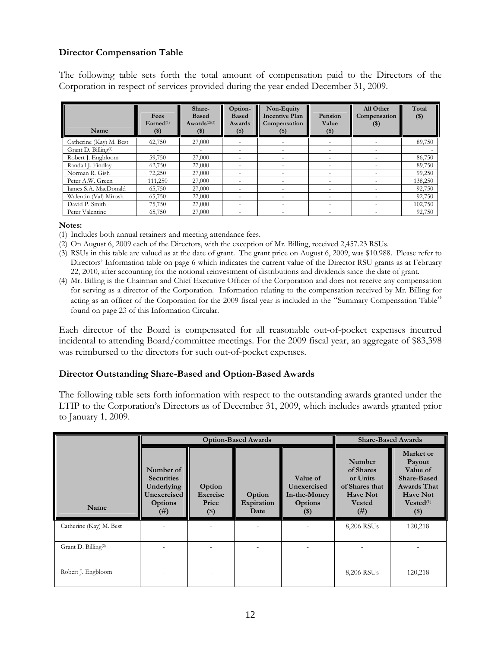### **Director Compensation Table**

The following table sets forth the total amount of compensation paid to the Directors of the Corporation in respect of services provided during the year ended December 31, 2009.

| Name                            | Fees<br>$\mathbf{E}$ arned $(1)$<br>$(\$)$ | Share-<br><b>Based</b><br>Awards <sup>(2)(3)</sup><br>$(\$)$ | Option-<br><b>Based</b><br>Awards<br>$($ \$ | Non-Equity<br><b>Incentive Plan</b><br>Compensation<br>$$^{(})$$ | Pension<br>Value<br>$$^{(\$)}$$ | All Other<br>Compensation<br>$($)$ | Total<br>$($)$ |
|---------------------------------|--------------------------------------------|--------------------------------------------------------------|---------------------------------------------|------------------------------------------------------------------|---------------------------------|------------------------------------|----------------|
| Catherine (Kay) M. Best         | 62,750                                     | 27,000                                                       |                                             |                                                                  |                                 |                                    | 89,750         |
| Grant D. Billing <sup>(4)</sup> | -                                          | $\overline{\phantom{a}}$                                     | ٠                                           | $\overline{\phantom{a}}$                                         | $\overline{\phantom{a}}$        | -                                  |                |
| Robert J. Engbloom              | 59,750                                     | 27,000                                                       | -                                           | $\overline{\phantom{a}}$                                         | $\overline{\phantom{a}}$        |                                    | 86,750         |
| Randall J. Findlay              | 62,750                                     | 27,000                                                       |                                             | -                                                                |                                 |                                    | 89,750         |
| Norman R. Gish                  | 72,250                                     | 27,000                                                       | -                                           | -                                                                | $\overline{\phantom{a}}$        |                                    | 99,250         |
| Peter A.W. Green                | 111,250                                    | 27,000                                                       | ٠                                           | $\overline{\phantom{a}}$                                         | $\overline{\phantom{a}}$        |                                    | 138,250        |
| James S.A. MacDonald            | 65,750                                     | 27,000                                                       |                                             |                                                                  |                                 |                                    | 92,750         |
| Walentin (Val) Mirosh           | 65,750                                     | 27,000                                                       | ٠                                           | $\overline{\phantom{a}}$                                         | $\overline{\phantom{a}}$        | ٠                                  | 92,750         |
| David P. Smith                  | 75,750                                     | 27,000                                                       | $\overline{\phantom{a}}$                    | $\overline{\phantom{a}}$                                         | $\overline{\phantom{a}}$        |                                    | 102,750        |
| Peter Valentine                 | 65,750                                     | 27,000                                                       | ٠                                           | $\overline{\phantom{a}}$                                         | $\overline{\phantom{a}}$        |                                    | 92,750         |

#### **Notes:**

- (1) Includes both annual retainers and meeting attendance fees.
- (2) On August 6, 2009 each of the Directors, with the exception of Mr. Billing, received 2,457.23 RSUs.
- (3) RSUs in this table are valued as at the date of grant. The grant price on August 6, 2009, was \$10.988. Please refer to Directors' Information table on page 6 which indicates the current value of the Director RSU grants as at February 22, 2010, after accounting for the notional reinvestment of distributions and dividends since the date of grant.
- (4) Mr. Billing is the Chairman and Chief Executive Officer of the Corporation and does not receive any compensation for serving as a director of the Corporation. Information relating to the compensation received by Mr. Billing for acting as an officer of the Corporation for the 2009 fiscal year is included in the "Summary Compensation Table" found on page 23 of this Information Circular.

Each director of the Board is compensated for all reasonable out-of-pocket expenses incurred incidental to attending Board/committee meetings. For the 2009 fiscal year, an aggregate of \$83,398 was reimbursed to the directors for such out-of-pocket expenses.

### **Director Outstanding Share-Based and Option-Based Awards**

The following table sets forth information with respect to the outstanding awards granted under the LTIP to the Corporation's Directors as of December 31, 2009, which includes awards granted prior to January 1, 2009.

|                                 |                                                                                       | <b>Option-Based Awards</b>                  | <b>Share-Based Awards</b>    |                                                              |                                                                                               |                                                                                                                                    |
|---------------------------------|---------------------------------------------------------------------------------------|---------------------------------------------|------------------------------|--------------------------------------------------------------|-----------------------------------------------------------------------------------------------|------------------------------------------------------------------------------------------------------------------------------------|
| Name                            | Number of<br><b>Securities</b><br>Underlying<br>Unexercised<br><b>Options</b><br>(# ) | Option<br><b>Exercise</b><br>Price<br>$($)$ | Option<br>Expiration<br>Date | Value of<br>Unexercised<br>In-the-Money<br>Options<br>$($ \$ | Number<br>of Shares<br>or Units<br>of Shares that<br><b>Have Not</b><br><b>Vested</b><br>(# ) | Market or<br>Payout<br>Value of<br><b>Share-Based</b><br><b>Awards That</b><br><b>Have Not</b><br>$Vested$ <sup>(1)</sup><br>$($)$ |
| Catherine (Kay) M. Best         |                                                                                       |                                             |                              |                                                              | 8,206 RSUs                                                                                    | 120,218                                                                                                                            |
| Grant D. Billing <sup>(2)</sup> |                                                                                       |                                             |                              |                                                              |                                                                                               |                                                                                                                                    |
| Robert J. Engbloom              |                                                                                       |                                             |                              |                                                              | 8,206 RSUs                                                                                    | 120,218                                                                                                                            |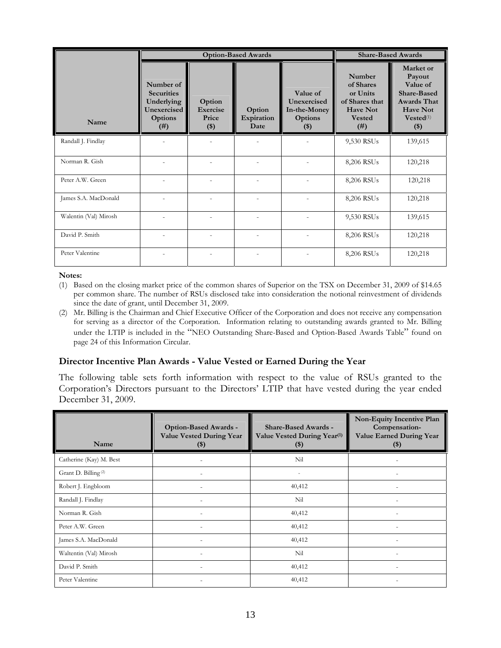|                       |                                                                                | <b>Option-Based Awards</b>           | <b>Share-Based Awards</b>    |                                                              |                                                                                               |                                                                                                                                     |
|-----------------------|--------------------------------------------------------------------------------|--------------------------------------|------------------------------|--------------------------------------------------------------|-----------------------------------------------------------------------------------------------|-------------------------------------------------------------------------------------------------------------------------------------|
| Name                  | Number of<br><b>Securities</b><br>Underlying<br>Unexercised<br>Options<br>(# ) | Option<br>Exercise<br>Price<br>$($)$ | Option<br>Expiration<br>Date | Value of<br>Unexercised<br>In-the-Money<br>Options<br>$($ \$ | Number<br>of Shares<br>or Units<br>of Shares that<br><b>Have Not</b><br><b>Vested</b><br>(# ) | Market or<br>Payout<br>Value of<br><b>Share-Based</b><br><b>Awards That</b><br><b>Have Not</b><br>$Vested$ <sup>(1)</sup><br>$($ \$ |
| Randall J. Findlay    |                                                                                |                                      |                              |                                                              | 9,530 RSUs                                                                                    | 139,615                                                                                                                             |
| Norman R. Gish        |                                                                                |                                      |                              |                                                              | 8,206 RSUs                                                                                    | 120,218                                                                                                                             |
| Peter A.W. Green      |                                                                                |                                      |                              |                                                              | 8,206 RSUs                                                                                    | 120,218                                                                                                                             |
| James S.A. MacDonald  |                                                                                |                                      |                              |                                                              | 8,206 RSUs                                                                                    | 120,218                                                                                                                             |
| Walentin (Val) Mirosh |                                                                                |                                      |                              |                                                              | 9,530 RSUs                                                                                    | 139,615                                                                                                                             |
| David P. Smith        |                                                                                |                                      |                              |                                                              | 8,206 RSUs                                                                                    | 120,218                                                                                                                             |
| Peter Valentine       |                                                                                |                                      |                              |                                                              | 8,206 RSUs                                                                                    | 120,218                                                                                                                             |

#### **Notes:**

- (1) Based on the closing market price of the common shares of Superior on the TSX on December 31, 2009 of \$14.65 per common share. The number of RSUs disclosed take into consideration the notional reinvestment of dividends since the date of grant, until December 31, 2009.
- (2) Mr. Billing is the Chairman and Chief Executive Officer of the Corporation and does not receive any compensation for serving as a director of the Corporation. Information relating to outstanding awards granted to Mr. Billing under the LTIP is included in the "NEO Outstanding Share-Based and Option-Based Awards Table" found on page 24 of this Information Circular.

### **Director Incentive Plan Awards - Value Vested or Earned During the Year**

The following table sets forth information with respect to the value of RSUs granted to the Corporation's Directors pursuant to the Directors' LTIP that have vested during the year ended December 31, 2009.

| Name                            | Option-Based Awards -<br><b>Value Vested During Year</b><br>$(\$)$ | <b>Share-Based Awards -</b><br>Value Vested During Year <sup>(1)</sup><br>$(\$)$ | Non-Equity Incentive Plan<br>Compensation-<br><b>Value Earned During Year</b><br>$(\$)$ |
|---------------------------------|--------------------------------------------------------------------|----------------------------------------------------------------------------------|-----------------------------------------------------------------------------------------|
| Catherine (Kay) M. Best         |                                                                    | Nil                                                                              |                                                                                         |
| Grant D. Billing <sup>(2)</sup> |                                                                    |                                                                                  |                                                                                         |
| Robert J. Engbloom              |                                                                    | 40,412                                                                           | $\overline{a}$                                                                          |
| Randall J. Findlay              | $\overline{a}$                                                     | Nil                                                                              | $\overline{\phantom{0}}$                                                                |
| Norman R. Gish                  |                                                                    | 40,412                                                                           | $\overline{a}$                                                                          |
| Peter A.W. Green                |                                                                    | 40,412                                                                           | $\overline{\phantom{0}}$                                                                |
| James S.A. MacDonald            |                                                                    | 40,412                                                                           | $\overline{a}$                                                                          |
| Waltentin (Val) Mirosh          |                                                                    | Nil                                                                              |                                                                                         |
| David P. Smith                  |                                                                    | 40,412                                                                           | $\overline{a}$                                                                          |
| Peter Valentine                 |                                                                    | 40,412                                                                           |                                                                                         |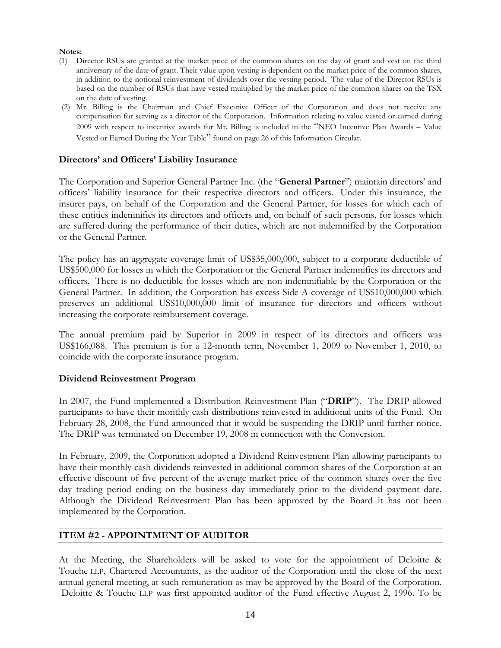#### **Notes:**

- (1) Director RSUs are granted at the market price of the common shares on the day of grant and vest on the third anniversary of the date of grant. Their value upon vesting is dependent on the market price of the common shares, in addition to the notional reinvestment of dividends over the vesting period. The value of the Director RSUs is based on the number of RSUs that have vested multiplied by the market price of the common shares on the TSX on the date of vesting.
- (2) Mr. Billing is the Chairman and Chief Executive Officer of the Corporation and does not receive any compensation for serving as a director of the Corporation. Information relating to value vested or earned during 2009 with respect to incentive awards for Mr. Billing is included in the "NEO Incentive Plan Awards – Value Vested or Earned During the Year Table" found on page 26 of this Information Circular.

### **Directors' and Officers' Liability Insurance**

The Corporation and Superior General Partner Inc. (the "**General Partner**") maintain directors' and officers' liability insurance for their respective directors and officers. Under this insurance, the insurer pays, on behalf of the Corporation and the General Partner, for losses for which each of these entities indemnifies its directors and officers and, on behalf of such persons, for losses which are suffered during the performance of their duties, which are not indemnified by the Corporation or the General Partner.

The policy has an aggregate coverage limit of US\$35,000,000, subject to a corporate deductible of US\$500,000 for losses in which the Corporation or the General Partner indemnifies its directors and officers. There is no deductible for losses which are non-indemnifiable by the Corporation or the General Partner. In addition, the Corporation has excess Side A coverage of US\$10,000,000 which preserves an additional US\$10,000,000 limit of insurance for directors and officers without increasing the corporate reimbursement coverage.

The annual premium paid by Superior in 2009 in respect of its directors and officers was US\$166,088. This premium is for a 12-month term, November 1, 2009 to November 1, 2010, to coincide with the corporate insurance program.

### **Dividend Reinvestment Program**

In 2007, the Fund implemented a Distribution Reinvestment Plan ("**DRIP**"). The DRIP allowed participants to have their monthly cash distributions reinvested in additional units of the Fund. On February 28, 2008, the Fund announced that it would be suspending the DRIP until further notice. The DRIP was terminated on December 19, 2008 in connection with the Conversion.

In February, 2009, the Corporation adopted a Dividend Reinvestment Plan allowing participants to have their monthly cash dividends reinvested in additional common shares of the Corporation at an effective discount of five percent of the average market price of the common shares over the five day trading period ending on the business day immediately prior to the dividend payment date. Although the Dividend Reinvestment Plan has been approved by the Board it has not been implemented by the Corporation.

### **ITEM #2 - APPOINTMENT OF AUDITOR**

At the Meeting, the Shareholders will be asked to vote for the appointment of Deloitte & Touche LLP, Chartered Accountants, as the auditor of the Corporation until the close of the next annual general meeting, at such remuneration as may be approved by the Board of the Corporation. Deloitte & Touche LLP was first appointed auditor of the Fund effective August 2, 1996. To be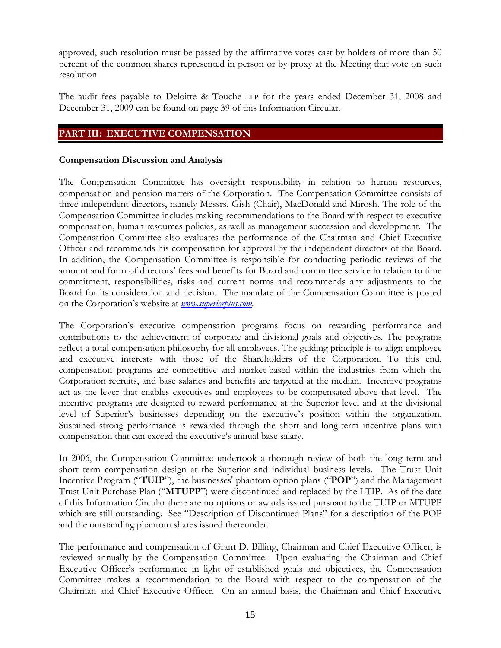approved, such resolution must be passed by the affirmative votes cast by holders of more than 50 percent of the common shares represented in person or by proxy at the Meeting that vote on such resolution.

The audit fees payable to Deloitte & Touche LLP for the years ended December 31, 2008 and December 31, 2009 can be found on page 39 of this Information Circular.

### **PART III: EXECUTIVE COMPENSATION**

### **Compensation Discussion and Analysis**

The Compensation Committee has oversight responsibility in relation to human resources, compensation and pension matters of the Corporation. The Compensation Committee consists of three independent directors, namely Messrs. Gish (Chair), MacDonald and Mirosh. The role of the Compensation Committee includes making recommendations to the Board with respect to executive compensation, human resources policies, as well as management succession and development. The Compensation Committee also evaluates the performance of the Chairman and Chief Executive Officer and recommends his compensation for approval by the independent directors of the Board. In addition, the Compensation Committee is responsible for conducting periodic reviews of the amount and form of directors' fees and benefits for Board and committee service in relation to time commitment, responsibilities, risks and current norms and recommends any adjustments to the Board for its consideration and decision. The mandate of the Compensation Committee is posted on the Corporation's website at *www.superiorplus.com*.

The Corporation's executive compensation programs focus on rewarding performance and contributions to the achievement of corporate and divisional goals and objectives. The programs reflect a total compensation philosophy for all employees. The guiding principle is to align employee and executive interests with those of the Shareholders of the Corporation. To this end, compensation programs are competitive and market-based within the industries from which the Corporation recruits, and base salaries and benefits are targeted at the median. Incentive programs act as the lever that enables executives and employees to be compensated above that level. The incentive programs are designed to reward performance at the Superior level and at the divisional level of Superior's businesses depending on the executive's position within the organization. Sustained strong performance is rewarded through the short and long-term incentive plans with compensation that can exceed the executive's annual base salary.

In 2006, the Compensation Committee undertook a thorough review of both the long term and short term compensation design at the Superior and individual business levels. The Trust Unit Incentive Program ("**TUIP**"), the businesses' phantom option plans ("**POP**") and the Management Trust Unit Purchase Plan ("**MTUPP**") were discontinued and replaced by the LTIP. As of the date of this Information Circular there are no options or awards issued pursuant to the TUIP or MTUPP which are still outstanding. See "Description of Discontinued Plans" for a description of the POP and the outstanding phantom shares issued thereunder.

The performance and compensation of Grant D. Billing, Chairman and Chief Executive Officer, is reviewed annually by the Compensation Committee. Upon evaluating the Chairman and Chief Executive Officer's performance in light of established goals and objectives, the Compensation Committee makes a recommendation to the Board with respect to the compensation of the Chairman and Chief Executive Officer. On an annual basis, the Chairman and Chief Executive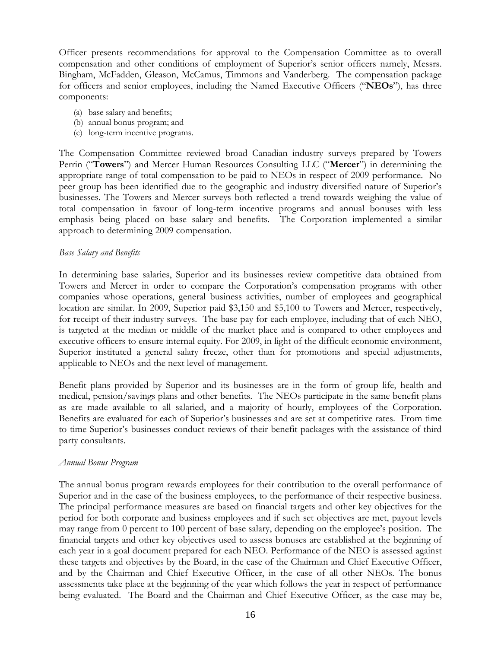Officer presents recommendations for approval to the Compensation Committee as to overall compensation and other conditions of employment of Superior's senior officers namely, Messrs. Bingham, McFadden, Gleason, McCamus, Timmons and Vanderberg. The compensation package for officers and senior employees, including the Named Executive Officers ("**NEOs**"), has three components:

- (a) base salary and benefits;
- (b) annual bonus program; and
- (c) long-term incentive programs.

The Compensation Committee reviewed broad Canadian industry surveys prepared by Towers Perrin ("**Towers**") and Mercer Human Resources Consulting LLC ("**Mercer**") in determining the appropriate range of total compensation to be paid to NEOs in respect of 2009 performance.No peer group has been identified due to the geographic and industry diversified nature of Superior's businesses. The Towers and Mercer surveys both reflected a trend towards weighing the value of total compensation in favour of long-term incentive programs and annual bonuses with less emphasis being placed on base salary and benefits. The Corporation implemented a similar approach to determining 2009 compensation.

### *Base Salary and Benefits*

In determining base salaries, Superior and its businesses review competitive data obtained from Towers and Mercer in order to compare the Corporation's compensation programs with other companies whose operations, general business activities, number of employees and geographical location are similar. In 2009, Superior paid \$3,150 and \$5,100 to Towers and Mercer, respectively, for receipt of their industry surveys.The base pay for each employee, including that of each NEO, is targeted at the median or middle of the market place and is compared to other employees and executive officers to ensure internal equity. For 2009, in light of the difficult economic environment, Superior instituted a general salary freeze, other than for promotions and special adjustments, applicable to NEOs and the next level of management.

Benefit plans provided by Superior and its businesses are in the form of group life, health and medical, pension/savings plans and other benefits. The NEOs participate in the same benefit plans as are made available to all salaried, and a majority of hourly, employees of the Corporation. Benefits are evaluated for each of Superior's businesses and are set at competitive rates. From time to time Superior's businesses conduct reviews of their benefit packages with the assistance of third party consultants.

### *Annual Bonus Program*

The annual bonus program rewards employees for their contribution to the overall performance of Superior and in the case of the business employees, to the performance of their respective business. The principal performance measures are based on financial targets and other key objectives for the period for both corporate and business employees and if such set objectives are met, payout levels may range from 0 percent to 100 percent of base salary, depending on the employee's position. The financial targets and other key objectives used to assess bonuses are established at the beginning of each year in a goal document prepared for each NEO. Performance of the NEO is assessed against these targets and objectives by the Board, in the case of the Chairman and Chief Executive Officer, and by the Chairman and Chief Executive Officer, in the case of all other NEOs. The bonus assessments take place at the beginning of the year which follows the year in respect of performance being evaluated. The Board and the Chairman and Chief Executive Officer, as the case may be,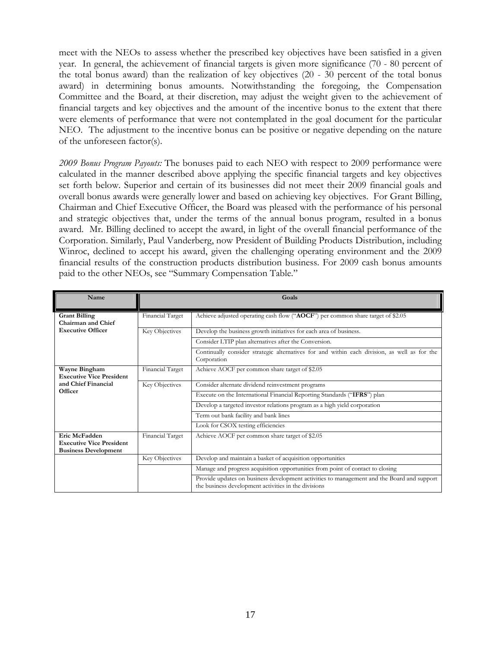meet with the NEOs to assess whether the prescribed key objectives have been satisfied in a given year. In general, the achievement of financial targets is given more significance (70 - 80 percent of the total bonus award) than the realization of key objectives (20 - 30 percent of the total bonus award) in determining bonus amounts. Notwithstanding the foregoing, the Compensation Committee and the Board, at their discretion, may adjust the weight given to the achievement of financial targets and key objectives and the amount of the incentive bonus to the extent that there were elements of performance that were not contemplated in the goal document for the particular NEO. The adjustment to the incentive bonus can be positive or negative depending on the nature of the unforeseen factor(s).

*2009 Bonus Program Payouts:* The bonuses paid to each NEO with respect to 2009 performance were calculated in the manner described above applying the specific financial targets and key objectives set forth below. Superior and certain of its businesses did not meet their 2009 financial goals and overall bonus awards were generally lower and based on achieving key objectives. For Grant Billing, Chairman and Chief Executive Officer, the Board was pleased with the performance of his personal and strategic objectives that, under the terms of the annual bonus program, resulted in a bonus award. Mr. Billing declined to accept the award, in light of the overall financial performance of the Corporation. Similarly, Paul Vanderberg, now President of Building Products Distribution, including Winroc, declined to accept his award, given the challenging operating environment and the 2009 financial results of the construction products distribution business. For 2009 cash bonus amounts paid to the other NEOs, see "Summary Compensation Table."

| Name                                                                            |                  | Goals                                                                                                                                              |
|---------------------------------------------------------------------------------|------------------|----------------------------------------------------------------------------------------------------------------------------------------------------|
| <b>Grant Billing</b><br>Chairman and Chief                                      | Financial Target | Achieve adjusted operating cash flow ("AOCF") per common share target of \$2.05                                                                    |
| <b>Executive Officer</b>                                                        | Key Objectives   | Develop the business growth initiatives for each area of business.                                                                                 |
|                                                                                 |                  | Consider LTIP plan alternatives after the Conversion.                                                                                              |
|                                                                                 |                  | Continually consider strategic alternatives for and within each division, as well as for the<br>Corporation                                        |
| Wayne Bingham<br><b>Executive Vice President</b>                                | Financial Target | Achieve AOCF per common share target of \$2.05                                                                                                     |
| and Chief Financial                                                             | Key Objectives   | Consider alternate dividend reinvestment programs                                                                                                  |
| Officer                                                                         |                  | Execute on the International Financial Reporting Standards ("IFRS") plan                                                                           |
|                                                                                 |                  | Develop a targeted investor relations program as a high yield corporation                                                                          |
|                                                                                 |                  | Term out bank facility and bank lines                                                                                                              |
|                                                                                 |                  | Look for CSOX testing efficiencies                                                                                                                 |
| Eric McFadden<br><b>Executive Vice President</b><br><b>Business Development</b> | Financial Target | Achieve AOCF per common share target of \$2.05                                                                                                     |
|                                                                                 | Key Objectives   | Develop and maintain a basket of acquisition opportunities                                                                                         |
|                                                                                 |                  | Manage and progress acquisition opportunities from point of contact to closing                                                                     |
|                                                                                 |                  | Provide updates on business development activities to management and the Board and support<br>the business development activities in the divisions |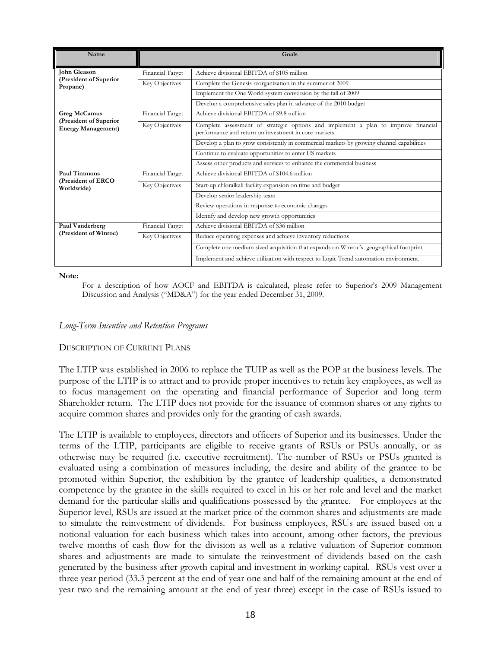| Name                                                |                  | Goals                                                                                                                                      |
|-----------------------------------------------------|------------------|--------------------------------------------------------------------------------------------------------------------------------------------|
| John Gleason                                        | Financial Target | Achieve divisional EBITDA of \$105 million                                                                                                 |
| (President of Superior<br>Propane)                  | Key Objectives   | Complete the Genesis reorganization in the summer of 2009                                                                                  |
|                                                     |                  | Implement the One World system conversion by the fall of 2009                                                                              |
|                                                     |                  | Develop a comprehensive sales plan in advance of the 2010 budget                                                                           |
| <b>Greg McCamus</b>                                 | Financial Target | Achieve divisional EBITDA of \$9.8 million                                                                                                 |
| (President of Superior<br><b>Energy Management)</b> | Key Objectives   | Complete assessment of strategic options and implement a plan to improve financial<br>performance and return on investment in core markets |
|                                                     |                  | Develop a plan to grow consistently in commercial markets by growing channel capabilities                                                  |
|                                                     |                  | Continue to evaluate opportunities to enter US markets                                                                                     |
|                                                     |                  | Assess other products and services to enhance the commercial business                                                                      |
| Paul Timmons                                        | Financial Target | Achieve divisional EBITDA of \$104.6 million                                                                                               |
| (President of ERCO<br>Worldwide)                    | Key Objectives   | Start-up chloralkali facility expansion on time and budget                                                                                 |
|                                                     |                  | Develop senior leadership team                                                                                                             |
|                                                     |                  | Review operations in response to economic changes                                                                                          |
|                                                     |                  | Identify and develop new growth opportunities                                                                                              |
| Paul Vanderberg                                     | Financial Target | Achieve divisional EBITDA of \$36 million                                                                                                  |
| (President of Winroc)                               | Key Objectives   | Reduce operating expenses and achieve inventory reductions                                                                                 |
|                                                     |                  | Complete one medium sized acquisition that expands on Winroc's geographical footprint                                                      |
|                                                     |                  | Implement and achieve utilization with respect to Logic Trend automation environment.                                                      |

**Note:** 

For a description of how AOCF and EBITDA is calculated, please refer to Superior's 2009 Management Discussion and Analysis ("MD&A") for the year ended December 31, 2009.

### *Long-Term Incentive and Retention Programs*

### DESCRIPTION OF CURRENT PLANS

The LTIP was established in 2006 to replace the TUIP as well as the POP at the business levels. The purpose of the LTIP is to attract and to provide proper incentives to retain key employees, as well as to focus management on the operating and financial performance of Superior and long term Shareholder return. The LTIP does not provide for the issuance of common shares or any rights to acquire common shares and provides only for the granting of cash awards.

The LTIP is available to employees, directors and officers of Superior and its businesses. Under the terms of the LTIP, participants are eligible to receive grants of RSUs or PSUs annually, or as otherwise may be required (i.e. executive recruitment). The number of RSUs or PSUs granted is evaluated using a combination of measures including, the desire and ability of the grantee to be promoted within Superior, the exhibition by the grantee of leadership qualities, a demonstrated competence by the grantee in the skills required to excel in his or her role and level and the market demand for the particular skills and qualifications possessed by the grantee. For employees at the Superior level, RSUs are issued at the market price of the common shares and adjustments are made to simulate the reinvestment of dividends. For business employees, RSUs are issued based on a notional valuation for each business which takes into account, among other factors, the previous twelve months of cash flow for the division as well as a relative valuation of Superior common shares and adjustments are made to simulate the reinvestment of dividends based on the cash generated by the business after growth capital and investment in working capital. RSUs vest over a three year period (33.3 percent at the end of year one and half of the remaining amount at the end of year two and the remaining amount at the end of year three) except in the case of RSUs issued to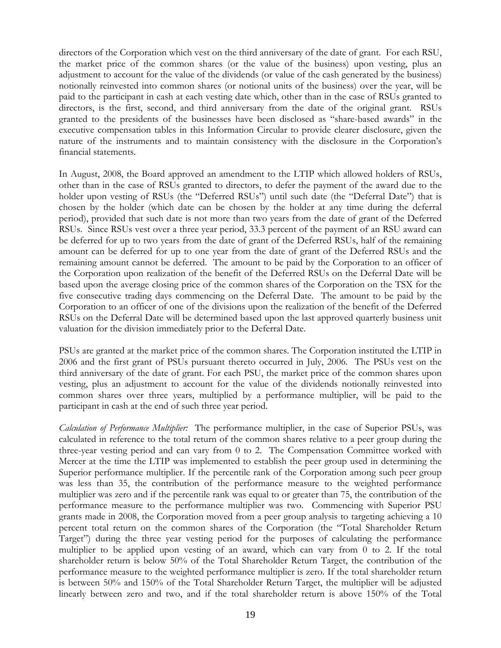directors of the Corporation which vest on the third anniversary of the date of grant. For each RSU, the market price of the common shares (or the value of the business) upon vesting, plus an adjustment to account for the value of the dividends (or value of the cash generated by the business) notionally reinvested into common shares (or notional units of the business) over the year, will be paid to the participant in cash at each vesting date which, other than in the case of RSUs granted to directors, is the first, second, and third anniversary from the date of the original grant. RSUs granted to the presidents of the businesses have been disclosed as "share-based awards" in the executive compensation tables in this Information Circular to provide clearer disclosure, given the nature of the instruments and to maintain consistency with the disclosure in the Corporation's financial statements.

In August, 2008, the Board approved an amendment to the LTIP which allowed holders of RSUs, other than in the case of RSUs granted to directors, to defer the payment of the award due to the holder upon vesting of RSUs (the "Deferred RSUs") until such date (the "Deferral Date") that is chosen by the holder (which date can be chosen by the holder at any time during the deferral period), provided that such date is not more than two years from the date of grant of the Deferred RSUs. Since RSUs vest over a three year period, 33.3 percent of the payment of an RSU award can be deferred for up to two years from the date of grant of the Deferred RSUs, half of the remaining amount can be deferred for up to one year from the date of grant of the Deferred RSUs and the remaining amount cannot be deferred. The amount to be paid by the Corporation to an officer of the Corporation upon realization of the benefit of the Deferred RSUs on the Deferral Date will be based upon the average closing price of the common shares of the Corporation on the TSX for the five consecutive trading days commencing on the Deferral Date. The amount to be paid by the Corporation to an officer of one of the divisions upon the realization of the benefit of the Deferred RSUs on the Deferral Date will be determined based upon the last approved quarterly business unit valuation for the division immediately prior to the Deferral Date.

PSUs are granted at the market price of the common shares. The Corporation instituted the LTIP in 2006 and the first grant of PSUs pursuant thereto occurred in July, 2006. The PSUs vest on the third anniversary of the date of grant. For each PSU, the market price of the common shares upon vesting, plus an adjustment to account for the value of the dividends notionally reinvested into common shares over three years, multiplied by a performance multiplier, will be paid to the participant in cash at the end of such three year period.

*Calculation of Performance Multiplier:* The performance multiplier, in the case of Superior PSUs, was calculated in reference to the total return of the common shares relative to a peer group during the three-year vesting period and can vary from 0 to 2. The Compensation Committee worked with Mercer at the time the LTIP was implemented to establish the peer group used in determining the Superior performance multiplier. If the percentile rank of the Corporation among such peer group was less than 35, the contribution of the performance measure to the weighted performance multiplier was zero and if the percentile rank was equal to or greater than 75, the contribution of the performance measure to the performance multiplier was two. Commencing with Superior PSU grants made in 2008, the Corporation moved from a peer group analysis to targeting achieving a 10 percent total return on the common shares of the Corporation (the "Total Shareholder Return Target") during the three year vesting period for the purposes of calculating the performance multiplier to be applied upon vesting of an award, which can vary from 0 to 2. If the total shareholder return is below 50% of the Total Shareholder Return Target, the contribution of the performance measure to the weighted performance multiplier is zero. If the total shareholder return is between 50% and 150% of the Total Shareholder Return Target, the multiplier will be adjusted linearly between zero and two, and if the total shareholder return is above 150% of the Total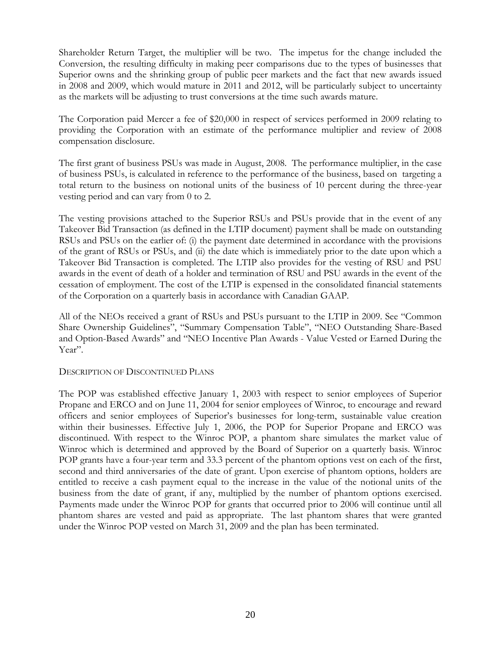Shareholder Return Target, the multiplier will be two. The impetus for the change included the Conversion, the resulting difficulty in making peer comparisons due to the types of businesses that Superior owns and the shrinking group of public peer markets and the fact that new awards issued in 2008 and 2009, which would mature in 2011 and 2012, will be particularly subject to uncertainty as the markets will be adjusting to trust conversions at the time such awards mature.

The Corporation paid Mercer a fee of \$20,000 in respect of services performed in 2009 relating to providing the Corporation with an estimate of the performance multiplier and review of 2008 compensation disclosure.

The first grant of business PSUs was made in August, 2008. The performance multiplier, in the case of business PSUs, is calculated in reference to the performance of the business, based on targeting a total return to the business on notional units of the business of 10 percent during the three-year vesting period and can vary from 0 to 2.

The vesting provisions attached to the Superior RSUs and PSUs provide that in the event of any Takeover Bid Transaction (as defined in the LTIP document) payment shall be made on outstanding RSUs and PSUs on the earlier of: (i) the payment date determined in accordance with the provisions of the grant of RSUs or PSUs, and (ii) the date which is immediately prior to the date upon which a Takeover Bid Transaction is completed. The LTIP also provides for the vesting of RSU and PSU awards in the event of death of a holder and termination of RSU and PSU awards in the event of the cessation of employment. The cost of the LTIP is expensed in the consolidated financial statements of the Corporation on a quarterly basis in accordance with Canadian GAAP.

All of the NEOs received a grant of RSUs and PSUs pursuant to the LTIP in 2009. See "Common Share Ownership Guidelines", "Summary Compensation Table", "NEO Outstanding Share-Based and Option-Based Awards" and "NEO Incentive Plan Awards - Value Vested or Earned During the Year".

### DESCRIPTION OF DISCONTINUED PLANS

The POP was established effective January 1, 2003 with respect to senior employees of Superior Propane and ERCO and on June 11, 2004 for senior employees of Winroc, to encourage and reward officers and senior employees of Superior's businesses for long-term, sustainable value creation within their businesses. Effective July 1, 2006, the POP for Superior Propane and ERCO was discontinued. With respect to the Winroc POP, a phantom share simulates the market value of Winroc which is determined and approved by the Board of Superior on a quarterly basis. Winroc POP grants have a four-year term and 33.3 percent of the phantom options vest on each of the first, second and third anniversaries of the date of grant. Upon exercise of phantom options, holders are entitled to receive a cash payment equal to the increase in the value of the notional units of the business from the date of grant, if any, multiplied by the number of phantom options exercised. Payments made under the Winroc POP for grants that occurred prior to 2006 will continue until all phantom shares are vested and paid as appropriate. The last phantom shares that were granted under the Winroc POP vested on March 31, 2009 and the plan has been terminated.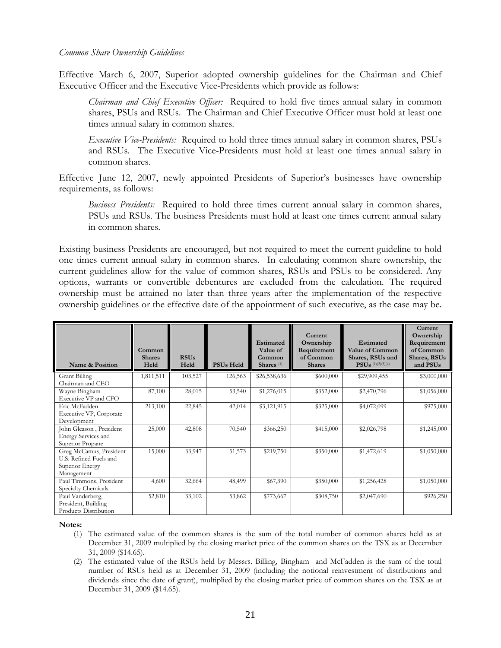#### *Common Share Ownership Guidelines*

Effective March 6, 2007, Superior adopted ownership guidelines for the Chairman and Chief Executive Officer and the Executive Vice-Presidents which provide as follows:

*Chairman and Chief Executive Officer:* Required to hold five times annual salary in common shares, PSUs and RSUs. The Chairman and Chief Executive Officer must hold at least one times annual salary in common shares.

*Executive Vice-Presidents:* Required to hold three times annual salary in common shares, PSUs and RSUs. The Executive Vice-Presidents must hold at least one times annual salary in common shares.

Effective June 12, 2007, newly appointed Presidents of Superior's businesses have ownership requirements, as follows:

*Business Presidents:* Required to hold three times current annual salary in common shares, PSUs and RSUs. The business Presidents must hold at least one times current annual salary in common shares.

Existing business Presidents are encouraged, but not required to meet the current guideline to hold one times current annual salary in common shares. In calculating common share ownership, the current guidelines allow for the value of common shares, RSUs and PSUs to be considered. Any options, warrants or convertible debentures are excluded from the calculation. The required ownership must be attained no later than three years after the implementation of the respective ownership guidelines or the effective date of the appointment of such executive, as the case may be.

| Name & Position                                                                    | Common<br><b>Shares</b><br>Held | <b>RSUs</b><br>Held | <b>PSUs Held</b> | Estimated<br>Value of<br>Common<br>Shares <sup>(1)</sup> | Current<br>Ownership<br>Requirement<br>of Common<br><b>Shares</b> | <b>Estimated</b><br><b>Value of Common</b><br>Shares, RSUs and<br>$PSUs$ <sup>(1)(2)(3)(4)</sup> | <b>Current</b><br>Ownership<br>Requirement<br>of Common<br>Shares, RSUs<br>and PSUs |
|------------------------------------------------------------------------------------|---------------------------------|---------------------|------------------|----------------------------------------------------------|-------------------------------------------------------------------|--------------------------------------------------------------------------------------------------|-------------------------------------------------------------------------------------|
| Grant Billing<br>Chairman and CEO                                                  | 1,811,511                       | 103,527             | 126,563          | \$26,538,636                                             | \$600,000                                                         | \$29,909,455                                                                                     | \$3,000,000                                                                         |
| Wayne Bingham<br>Executive VP and CFO                                              | 87,100                          | 28,015              | 53,540           | \$1,276,015                                              | \$352,000                                                         | \$2,470,796                                                                                      | \$1,056,000                                                                         |
| Eric McFadden<br>Executive VP, Corporate<br>Development                            | 213,100                         | 22,845              | 42,014           | \$3,121,915                                              | \$325,000                                                         | \$4,072,099                                                                                      | \$975,000                                                                           |
| John Gleason, President<br><b>Energy Services and</b><br>Superior Propane          | 25,000                          | 42,808              | 70,540           | \$366,250                                                | \$415,000                                                         | \$2,026,798                                                                                      | \$1,245,000                                                                         |
| Greg McCamus, President<br>U.S. Refined Fuels and<br>Superior Energy<br>Management | 15,000                          | 33,947              | 51,573           | \$219,750                                                | \$350,000                                                         | \$1,472,619                                                                                      | \$1,050,000                                                                         |
| Paul Timmons, President<br>Specialty Chemicals                                     | 4,600                           | 32,664              | 48,499           | \$67,390                                                 | \$350,000                                                         | \$1,256,428                                                                                      | \$1,050,000                                                                         |
| Paul Vanderberg,<br>President, Building<br>Products Distribution                   | 52,810                          | 33,102              | 53,862           | \$773,667                                                | \$308,750                                                         | \$2,047,690                                                                                      | \$926,250                                                                           |

**Notes:** 

- (1) The estimated value of the common shares is the sum of the total number of common shares held as at December 31, 2009 multiplied by the closing market price of the common shares on the TSX as at December 31, 2009 (\$14.65).
- (2) The estimated value of the RSUs held by Messrs. Billing, Bingham and McFadden is the sum of the total number of RSUs held as at December 31, 2009 (including the notional reinvestment of distributions and dividends since the date of grant), multiplied by the closing market price of common shares on the TSX as at December 31, 2009 (\$14.65).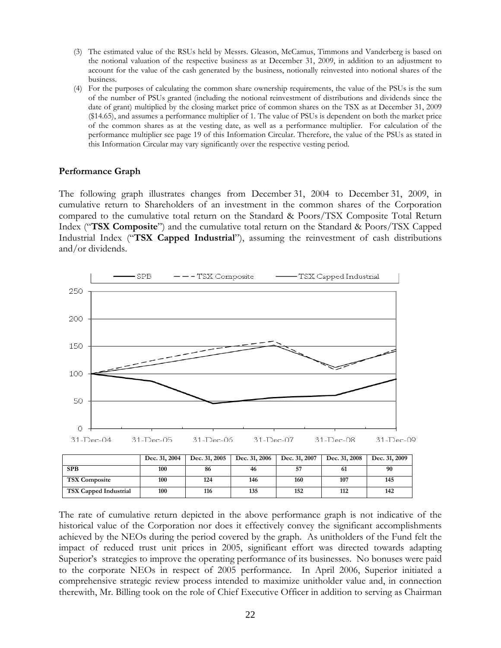- (3) The estimated value of the RSUs held by Messrs. Gleason, McCamus, Timmons and Vanderberg is based on the notional valuation of the respective business as at December 31, 2009, in addition to an adjustment to account for the value of the cash generated by the business, notionally reinvested into notional shares of the business.
- (4) For the purposes of calculating the common share ownership requirements, the value of the PSUs is the sum of the number of PSUs granted (including the notional reinvestment of distributions and dividends since the date of grant) multiplied by the closing market price of common shares on the TSX as at December 31, 2009 (\$14.65), and assumes a performance multiplier of 1. The value of PSUs is dependent on both the market price of the common shares as at the vesting date, as well as a performance multiplier. For calculation of the performance multiplier see page 19 of this Information Circular. Therefore, the value of the PSUs as stated in this Information Circular may vary significantly over the respective vesting period.

### **Performance Graph**

The following graph illustrates changes from December 31, 2004 to December 31, 2009, in cumulative return to Shareholders of an investment in the common shares of the Corporation compared to the cumulative total return on the Standard & Poors/TSX Composite Total Return Index ("**TSX Composite**") and the cumulative total return on the Standard & Poors/TSX Capped Industrial Index ("**TSX Capped Industrial**"), assuming the reinvestment of cash distributions and/or dividends.



|                              | Dec. 31, 2004 | Dec. 31, 2005 | Dec. 31, 2006 | Dec. 31, 2007 | Dec. 31, 2008 | Dec. 31, 2009 |
|------------------------------|---------------|---------------|---------------|---------------|---------------|---------------|
| <b>SPB</b>                   | 100           | 86            | 46            | 57            | 61            | 90            |
| <b>TSX Composite</b>         | 100           | 124           | 146           | 160           | 107           | 145           |
| <b>TSX Capped Industrial</b> | 100           | 116           | 135           | 152           | 112           | 142           |

The rate of cumulative return depicted in the above performance graph is not indicative of the historical value of the Corporation nor does it effectively convey the significant accomplishments achieved by the NEOs during the period covered by the graph. As unitholders of the Fund felt the impact of reduced trust unit prices in 2005, significant effort was directed towards adapting Superior's strategies to improve the operating performance of its businesses. No bonuses were paid to the corporate NEOs in respect of 2005 performance. In April 2006, Superior initiated a comprehensive strategic review process intended to maximize unitholder value and, in connection therewith, Mr. Billing took on the role of Chief Executive Officer in addition to serving as Chairman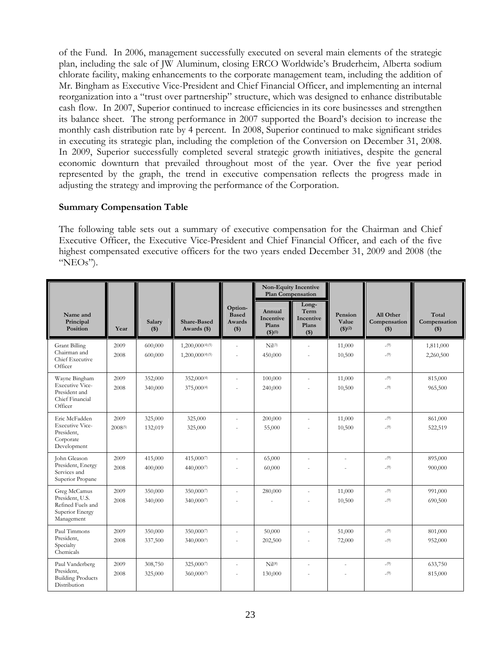of the Fund. In 2006, management successfully executed on several main elements of the strategic plan, including the sale of JW Aluminum, closing ERCO Worldwide's Bruderheim, Alberta sodium chlorate facility, making enhancements to the corporate management team, including the addition of Mr. Bingham as Executive Vice-President and Chief Financial Officer, and implementing an internal reorganization into a "trust over partnership" structure, which was designed to enhance distributable cash flow. In 2007, Superior continued to increase efficiencies in its core businesses and strengthen its balance sheet. The strong performance in 2007 supported the Board's decision to increase the monthly cash distribution rate by 4 percent. In 2008, Superior continued to make significant strides in executing its strategic plan, including the completion of the Conversion on December 31, 2008. In 2009, Superior successfully completed several strategic growth initiatives, despite the general economic downturn that prevailed throughout most of the year. Over the five year period represented by the graph, the trend in executive compensation reflects the progress made in adjusting the strategy and improving the performance of the Corporation.

### **Summary Compensation Table**

The following table sets out a summary of executive compensation for the Chairman and Chief Executive Officer, the Executive Vice-President and Chief Financial Officer, and each of the five highest compensated executive officers for the two years ended December 31, 2009 and 2008 (the " $NEOs$ ").

|                                                                                        |                 |                    |                                    |                                              | Non-Equity Incentive<br>Plan Compensation              |                                                |                                   |                                    |                                |
|----------------------------------------------------------------------------------------|-----------------|--------------------|------------------------------------|----------------------------------------------|--------------------------------------------------------|------------------------------------------------|-----------------------------------|------------------------------------|--------------------------------|
| Name and<br>Principal<br>Position                                                      | Year            | Salary<br>$($)$    | <b>Share-Based</b><br>Awards (\$)  | Option-<br><b>Based</b><br>Awards<br>$($ \$) | Annual<br>Incentive<br>Plans<br>$($ \$) <sup>(1)</sup> | Long-<br>Term<br>Incentive<br>Plans<br>$($ \$) | Pension<br>Value<br>$($ \$ $)(2)$ | All Other<br>Compensation<br>$($)$ | Total<br>Compensation<br>$($)$ |
| <b>Grant Billing</b><br>Chairman and<br>Chief Executive<br>Officer                     | 2009<br>2008    | 600,000<br>600,000 | 1,200,000(4)(5)<br>1,200,000(4)(5) | ÷.                                           | $Nil^{(3)}$<br>450,000                                 | $\overline{\phantom{a}}$<br>÷.                 | 11,000<br>10,500                  | $_{-(9)}$<br>$_{-(9)}$             | 1,811,000<br>2,260,500         |
| Wayne Bingham<br><b>Executive Vice-</b><br>President and<br>Chief Financial<br>Officer | 2009<br>2008    | 352,000<br>340,000 | 352,000(4)<br>375,000(4)           |                                              | 100,000<br>240,000                                     | $\sim$<br>÷,                                   | 11,000<br>10,500                  | $_{-(9)}$<br>$_{-(9)}$             | 815,000<br>965,500             |
| Eric McFadden<br><b>Executive Vice-</b><br>President,<br>Corporate<br>Development      | 2009<br>2008(5) | 325,000<br>132,019 | 325,000<br>325,000                 |                                              | 200,000<br>55,000                                      |                                                | 11,000<br>10,500                  | $_{-(9)}$<br>$_{-(9)}$             | 861,000<br>522,519             |
| John Gleason<br>President, Energy<br>Services and<br>Superior Propane                  | 2009<br>2008    | 415,000<br>400,000 | 415,0007<br>440,0007               | ÷.                                           | 65,000<br>60,000                                       | $\sim$                                         | L.                                | (9)<br>$_{-(9)}$                   | 895,000<br>900,000             |
| Greg McCamus<br>President, U.S.<br>Refined Fuels and<br>Superior Energy<br>Management  | 2009<br>2008    | 350,000<br>340,000 | 350,0007<br>340,0007               |                                              | 280,000                                                | $\sim$                                         | 11,000<br>10,500                  | (9)<br>$_{-(9)}$                   | 991,000<br>690,500             |
| Paul Timmons<br>President,<br>Specialty<br>Chemicals                                   | 2009<br>2008    | 350,000<br>337,500 | 350,0007<br>340,0007               |                                              | 50,000<br>202,500                                      | $\sim$                                         | 51,000<br>72,000                  | $_{-(9)}$<br>$_{-(9)}$             | 801,000<br>952,000             |
| Paul Vanderberg<br>President.<br><b>Building Products</b><br>Distribution              | 2009<br>2008    | 308,750<br>325,000 | 325,0007<br>360,0007               |                                              | Nil <sup>(8)</sup><br>130,000                          |                                                |                                   | $_{-(9)}$<br>$_{-(9)}$             | 633,750<br>815,000             |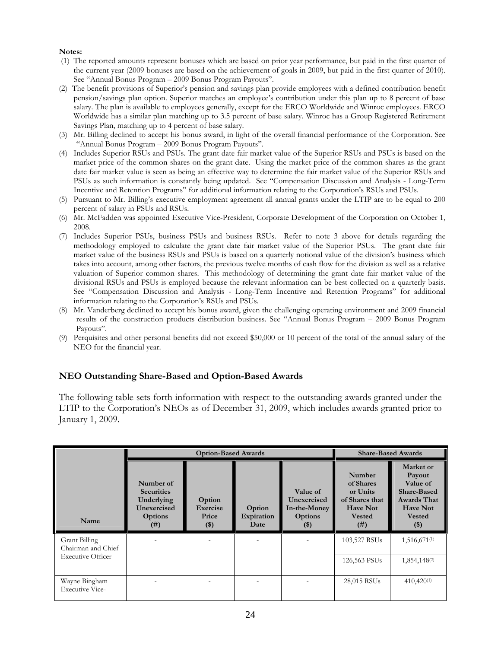#### **Notes:**

- (1) The reported amounts represent bonuses which are based on prior year performance, but paid in the first quarter of the current year (2009 bonuses are based on the achievement of goals in 2009, but paid in the first quarter of 2010). See "Annual Bonus Program – 2009 Bonus Program Payouts".
- (2) The benefit provisions of Superior's pension and savings plan provide employees with a defined contribution benefit pension/savings plan option. Superior matches an employee's contribution under this plan up to 8 percent of base salary. The plan is available to employees generally, except for the ERCO Worldwide and Winroc employees. ERCO Worldwide has a similar plan matching up to 3.5 percent of base salary. Winroc has a Group Registered Retirement Savings Plan, matching up to 4 percent of base salary.
- (3) Mr. Billing declined to accept his bonus award, in light of the overall financial performance of the Corporation. See "Annual Bonus Program – 2009 Bonus Program Payouts".
- (4) Includes Superior RSUs and PSUs. The grant date fair market value of the Superior RSUs and PSUs is based on the market price of the common shares on the grant date. Using the market price of the common shares as the grant date fair market value is seen as being an effective way to determine the fair market value of the Superior RSUs and PSUs as such information is constantly being updated. See "Compensation Discussion and Analysis - Long-Term Incentive and Retention Programs" for additional information relating to the Corporation's RSUs and PSUs.
- (5) Pursuant to Mr. Billing's executive employment agreement all annual grants under the LTIP are to be equal to 200 percent of salary in PSUs and RSUs.
- (6) Mr. McFadden was appointed Executive Vice-President, Corporate Development of the Corporation on October 1, 2008.
- (7) Includes Superior PSUs, business PSUs and business RSUs. Refer to note 3 above for details regarding the methodology employed to calculate the grant date fair market value of the Superior PSUs. The grant date fair market value of the business RSUs and PSUs is based on a quarterly notional value of the division's business which takes into account, among other factors, the previous twelve months of cash flow for the division as well as a relative valuation of Superior common shares. This methodology of determining the grant date fair market value of the divisional RSUs and PSUs is employed because the relevant information can be best collected on a quarterly basis. See "Compensation Discussion and Analysis - Long-Term Incentive and Retention Programs" for additional information relating to the Corporation's RSUs and PSUs.
- (8) Mr. Vanderberg declined to accept his bonus award, given the challenging operating environment and 2009 financial results of the construction products distribution business. See "Annual Bonus Program – 2009 Bonus Program Payouts".
- (9) Perquisites and other personal benefits did not exceed \$50,000 or 10 percent of the total of the annual salary of the NEO for the financial year.

### **NEO Outstanding Share-Based and Option-Based Awards**

The following table sets forth information with respect to the outstanding awards granted under the LTIP to the Corporation's NEOs as of December 31, 2009, which includes awards granted prior to January 1, 2009.

|                                            |                                                                                | <b>Option-Based Awards</b>           | <b>Share-Based Awards</b>    |                                                              |                                                                                                   |                                                                                                                    |
|--------------------------------------------|--------------------------------------------------------------------------------|--------------------------------------|------------------------------|--------------------------------------------------------------|---------------------------------------------------------------------------------------------------|--------------------------------------------------------------------------------------------------------------------|
| Name                                       | Number of<br><b>Securities</b><br>Underlying<br>Unexercised<br>Options<br>(# ) | Option<br>Exercise<br>Price<br>$($)$ | Option<br>Expiration<br>Date | Value of<br>Unexercised<br>In-the-Money<br>Options<br>$(\$)$ | Number<br>of Shares<br>or Units<br>of Shares that<br><b>Have Not</b><br><b>Vested</b><br>$^{(#)}$ | Market or<br>Payout<br>Value of<br>Share-Based<br><b>Awards That</b><br><b>Have Not</b><br><b>Vested</b><br>$(\$)$ |
| <b>Grant Billing</b><br>Chairman and Chief |                                                                                |                                      |                              |                                                              | 103,527 RSUs                                                                                      | 1,516,671(1)                                                                                                       |
| <b>Executive Officer</b>                   |                                                                                |                                      |                              |                                                              | 126,563 PSUs                                                                                      | 1,854,148 <sup>(2)</sup>                                                                                           |
| Wayne Bingham<br><b>Executive Vice-</b>    |                                                                                |                                      |                              |                                                              | 28,015 RSUs                                                                                       | $410,420^{(1)}$                                                                                                    |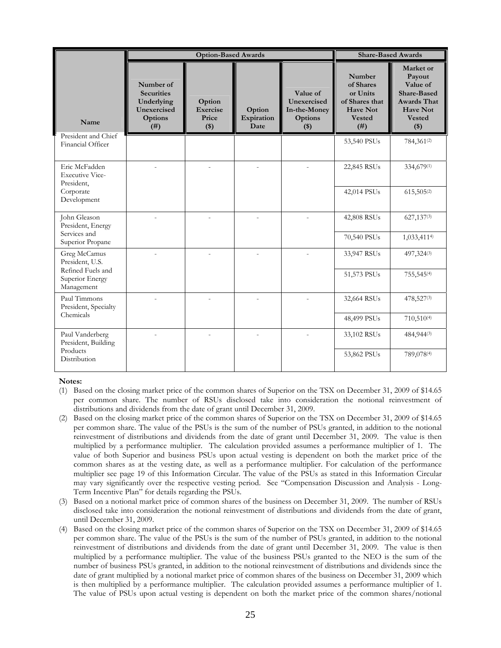|                                                       |                                                                                | <b>Option-Based Awards</b>             | <b>Share-Based Awards</b>    |                                                               |                                                                                               |                                                                                                                            |
|-------------------------------------------------------|--------------------------------------------------------------------------------|----------------------------------------|------------------------------|---------------------------------------------------------------|-----------------------------------------------------------------------------------------------|----------------------------------------------------------------------------------------------------------------------------|
| Name                                                  | Number of<br><b>Securities</b><br>Underlying<br>Unexercised<br>Options<br>(# ) | Option<br>Exercise<br>Price<br>$($ \$) | Option<br>Expiration<br>Date | Value of<br>Unexercised<br>In-the-Money<br>Options<br>$($ \$) | Number<br>of Shares<br>or Units<br>of Shares that<br><b>Have Not</b><br><b>Vested</b><br>(# ) | Market or<br>Payout<br>Value of<br><b>Share-Based</b><br><b>Awards That</b><br><b>Have Not</b><br><b>Vested</b><br>$($ \$) |
| President and Chief<br>Financial Officer              |                                                                                |                                        |                              |                                                               | 53,540 PSUs                                                                                   | 784,361(2)                                                                                                                 |
| Eric McFadden<br><b>Executive Vice-</b><br>President, |                                                                                |                                        |                              |                                                               | 22,845 RSUs                                                                                   | 334,679(1)                                                                                                                 |
| Corporate<br>Development                              |                                                                                |                                        |                              |                                                               | 42,014 PSUs                                                                                   | 615,505(2)                                                                                                                 |
| John Gleason<br>President, Energy<br>Services and     |                                                                                |                                        |                              |                                                               | 42,808 RSUs                                                                                   | 627,137(3)                                                                                                                 |
| Superior Propane                                      |                                                                                |                                        |                              |                                                               | 70,540 PSUs                                                                                   | 1,033,4114)                                                                                                                |
| Greg McCamus<br>President, U.S.<br>Refined Fuels and  |                                                                                |                                        |                              |                                                               | 33,947 RSUs                                                                                   | 497,324(3)                                                                                                                 |
| Superior Energy<br>Management                         |                                                                                |                                        |                              |                                                               | 51,573 PSUs                                                                                   | 755,545(4)                                                                                                                 |
| Paul Timmons<br>President, Specialty                  |                                                                                |                                        |                              |                                                               | 32,664 RSUs                                                                                   | 478,527(3)                                                                                                                 |
| Chemicals                                             |                                                                                |                                        |                              |                                                               | 48,499 PSUs                                                                                   | 710,510(4)                                                                                                                 |
| Paul Vanderberg<br>President, Building                |                                                                                |                                        |                              |                                                               | 33,102 RSUs                                                                                   | 484,944(3)                                                                                                                 |
| Products<br>Distribution                              |                                                                                |                                        |                              |                                                               | 53,862 PSUs                                                                                   | 789,078(4)                                                                                                                 |

#### **Notes:**

- (1) Based on the closing market price of the common shares of Superior on the TSX on December 31, 2009 of \$14.65 per common share. The number of RSUs disclosed take into consideration the notional reinvestment of distributions and dividends from the date of grant until December 31, 2009.
- (2) Based on the closing market price of the common shares of Superior on the TSX on December 31, 2009 of \$14.65 per common share. The value of the PSUs is the sum of the number of PSUs granted, in addition to the notional reinvestment of distributions and dividends from the date of grant until December 31, 2009. The value is then multiplied by a performance multiplier. The calculation provided assumes a performance multiplier of 1. The value of both Superior and business PSUs upon actual vesting is dependent on both the market price of the common shares as at the vesting date, as well as a performance multiplier. For calculation of the performance multiplier see page 19 of this Information Circular. The value of the PSUs as stated in this Information Circular may vary significantly over the respective vesting period. See "Compensation Discussion and Analysis - Long-Term Incentive Plan" for details regarding the PSUs.
- (3) Based on a notional market price of common shares of the business on December 31, 2009. The number of RSUs disclosed take into consideration the notional reinvestment of distributions and dividends from the date of grant, until December 31, 2009.
- (4) Based on the closing market price of the common shares of Superior on the TSX on December 31, 2009 of \$14.65 per common share. The value of the PSUs is the sum of the number of PSUs granted, in addition to the notional reinvestment of distributions and dividends from the date of grant until December 31, 2009. The value is then multiplied by a performance multiplier. The value of the business PSUs granted to the NEO is the sum of the number of business PSUs granted, in addition to the notional reinvestment of distributions and dividends since the date of grant multiplied by a notional market price of common shares of the business on December 31, 2009 which is then multiplied by a performance multiplier. The calculation provided assumes a performance multiplier of 1. The value of PSUs upon actual vesting is dependent on both the market price of the common shares/notional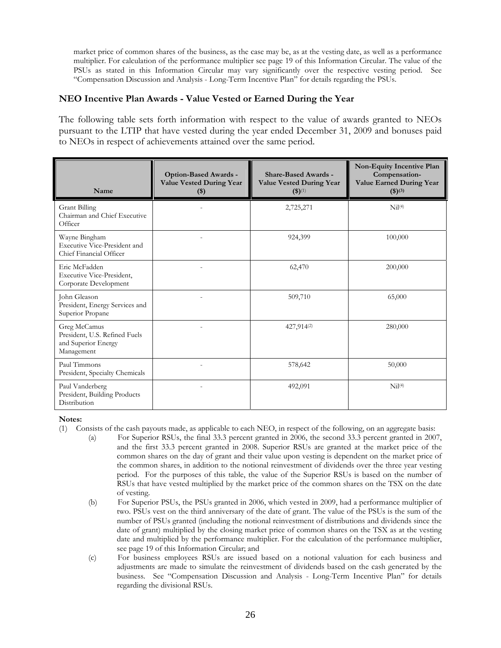market price of common shares of the business, as the case may be, as at the vesting date, as well as a performance multiplier. For calculation of the performance multiplier see page 19 of this Information Circular. The value of the PSUs as stated in this Information Circular may vary significantly over the respective vesting period. See "Compensation Discussion and Analysis - Long-Term Incentive Plan" for details regarding the PSUs.

### **NEO Incentive Plan Awards - Value Vested or Earned During the Year**

The following table sets forth information with respect to the value of awards granted to NEOs pursuant to the LTIP that have vested during the year ended December 31, 2009 and bonuses paid to NEOs in respect of achievements attained over the same period.

| Name                                                                               | <b>Option-Based Awards -</b><br><b>Value Vested During Year</b><br>\$) | <b>Share-Based Awards -</b><br><b>Value Vested During Year</b><br>$(3)^{(1)}$ | Non-Equity Incentive Plan<br>Compensation-<br><b>Value Earned During Year</b><br>$(3)^{(3)}$ |
|------------------------------------------------------------------------------------|------------------------------------------------------------------------|-------------------------------------------------------------------------------|----------------------------------------------------------------------------------------------|
| <b>Grant Billing</b><br>Chairman and Chief Executive<br>Officer                    |                                                                        | 2,725,271                                                                     | Ni(4)                                                                                        |
| Wayne Bingham<br>Executive Vice-President and<br>Chief Financial Officer           |                                                                        | 924,399                                                                       | 100,000                                                                                      |
| Eric McFadden<br>Executive Vice-President,<br>Corporate Development                |                                                                        | 62,470                                                                        | 200,000                                                                                      |
| John Gleason<br>President, Energy Services and<br>Superior Propane                 |                                                                        | 509,710                                                                       | 65,000                                                                                       |
| Greg McCamus<br>President, U.S. Refined Fuels<br>and Superior Energy<br>Management |                                                                        | 427,914(2)                                                                    | 280,000                                                                                      |
| Paul Timmons<br>President, Specialty Chemicals                                     |                                                                        | 578,642                                                                       | 50,000                                                                                       |
| Paul Vanderberg<br>President, Building Products<br>Distribution                    |                                                                        | 492,091                                                                       | Nil <sup>(4)</sup>                                                                           |

#### **Notes:**

- (1) Consists of the cash payouts made, as applicable to each NEO, in respect of the following, on an aggregate basis:
	- (a) For Superior RSUs, the final 33.3 percent granted in 2006, the second 33.3 percent granted in 2007, and the first 33.3 percent granted in 2008. Superior RSUs are granted at the market price of the common shares on the day of grant and their value upon vesting is dependent on the market price of the common shares, in addition to the notional reinvestment of dividends over the three year vesting period. For the purposes of this table, the value of the Superior RSUs is based on the number of RSUs that have vested multiplied by the market price of the common shares on the TSX on the date of vesting.
	- (b) For Superior PSUs, the PSUs granted in 2006, which vested in 2009, had a performance multiplier of two. PSUs vest on the third anniversary of the date of grant. The value of the PSUs is the sum of the number of PSUs granted (including the notional reinvestment of distributions and dividends since the date of grant) multiplied by the closing market price of common shares on the TSX as at the vesting date and multiplied by the performance multiplier. For the calculation of the performance multiplier, see page 19 of this Information Circular; and
	- (c) For business employees RSUs are issued based on a notional valuation for each business and adjustments are made to simulate the reinvestment of dividends based on the cash generated by the business. See "Compensation Discussion and Analysis - Long-Term Incentive Plan" for details regarding the divisional RSUs.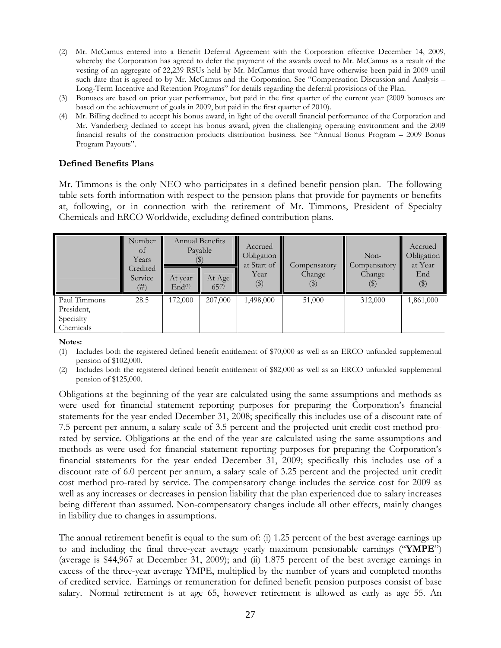- (2) Mr. McCamus entered into a Benefit Deferral Agreement with the Corporation effective December 14, 2009, whereby the Corporation has agreed to defer the payment of the awards owed to Mr. McCamus as a result of the vesting of an aggregate of 22,239 RSUs held by Mr. McCamus that would have otherwise been paid in 2009 until such date that is agreed to by Mr. McCamus and the Corporation. See "Compensation Discussion and Analysis – Long-Term Incentive and Retention Programs" for details regarding the deferral provisions of the Plan.
- (3) Bonuses are based on prior year performance, but paid in the first quarter of the current year (2009 bonuses are based on the achievement of goals in 2009, but paid in the first quarter of 2010).
- (4) Mr. Billing declined to accept his bonus award, in light of the overall financial performance of the Corporation and Mr. Vanderberg declined to accept his bonus award, given the challenging operating environment and the 2009 financial results of the construction products distribution business. See "Annual Bonus Program – 2009 Bonus Program Payouts".

### **Defined Benefits Plans**

Mr. Timmons is the only NEO who participates in a defined benefit pension plan. The following table sets forth information with respect to the pension plans that provide for payments or benefits at, following, or in connection with the retirement of Mr. Timmons, President of Specialty Chemicals and ERCO Worldwide, excluding defined contribution plans.

|              | Number<br>of<br>Years<br>Credited |                               | Annual Benefits<br>Payable | Accrued<br>Obligation<br>at Start of<br>Year | Compensatory<br>Change     | $Non-$<br>Compensatory<br>Change | Accrued<br>Obligation<br>at Year<br>End |
|--------------|-----------------------------------|-------------------------------|----------------------------|----------------------------------------------|----------------------------|----------------------------------|-----------------------------------------|
|              | Service<br>(# )                   | At year<br>End <sup>(1)</sup> | At Age<br>$65^{(2)}$       | $(\$)$                                       | $\left( \mathbb{S}\right)$ | $\left( \frac{1}{2} \right)$     | $(\$)$                                  |
| Paul Timmons | 28.5                              | 172,000                       | 207,000                    | 1,498,000                                    | 51,000                     | 312,000                          | 1,861,000                               |
| President,   |                                   |                               |                            |                                              |                            |                                  |                                         |
| Specialty    |                                   |                               |                            |                                              |                            |                                  |                                         |
| Chemicals    |                                   |                               |                            |                                              |                            |                                  |                                         |

**Notes:** 

- (1) Includes both the registered defined benefit entitlement of \$70,000 as well as an ERCO unfunded supplemental pension of \$102,000.
- (2) Includes both the registered defined benefit entitlement of \$82,000 as well as an ERCO unfunded supplemental pension of \$125,000.

Obligations at the beginning of the year are calculated using the same assumptions and methods as were used for financial statement reporting purposes for preparing the Corporation's financial statements for the year ended December 31, 2008; specifically this includes use of a discount rate of 7.5 percent per annum, a salary scale of 3.5 percent and the projected unit credit cost method prorated by service. Obligations at the end of the year are calculated using the same assumptions and methods as were used for financial statement reporting purposes for preparing the Corporation's financial statements for the year ended December 31, 2009; specifically this includes use of a discount rate of 6.0 percent per annum, a salary scale of 3.25 percent and the projected unit credit cost method pro-rated by service. The compensatory change includes the service cost for 2009 as well as any increases or decreases in pension liability that the plan experienced due to salary increases being different than assumed. Non-compensatory changes include all other effects, mainly changes in liability due to changes in assumptions.

The annual retirement benefit is equal to the sum of: (i) 1.25 percent of the best average earnings up to and including the final three-year average yearly maximum pensionable earnings ("**YMPE**") (average is \$44,967 at December 31, 2009); and (ii) 1.875 percent of the best average earnings in excess of the three-year average YMPE, multiplied by the number of years and completed months of credited service. Earnings or remuneration for defined benefit pension purposes consist of base salary. Normal retirement is at age 65, however retirement is allowed as early as age 55. An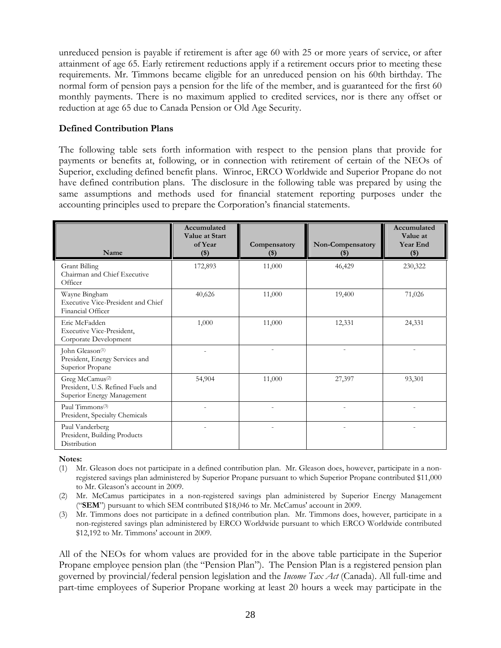unreduced pension is payable if retirement is after age 60 with 25 or more years of service, or after attainment of age 65. Early retirement reductions apply if a retirement occurs prior to meeting these requirements. Mr. Timmons became eligible for an unreduced pension on his 60th birthday. The normal form of pension pays a pension for the life of the member, and is guaranteed for the first 60 monthly payments. There is no maximum applied to credited services, nor is there any offset or reduction at age 65 due to Canada Pension or Old Age Security.

### **Defined Contribution Plans**

The following table sets forth information with respect to the pension plans that provide for payments or benefits at, following, or in connection with retirement of certain of the NEOs of Superior, excluding defined benefit plans. Winroc, ERCO Worldwide and Superior Propane do not have defined contribution plans.The disclosure in the following table was prepared by using the same assumptions and methods used for financial statement reporting purposes under the accounting principles used to prepare the Corporation's financial statements.

| Name                                                                                           | Accumulated<br>Value at Start<br>of Year<br>$($)$ | Compensatory<br>$(\$)$ | Non-Compensatory<br>$(\$)$ | Accumulated<br>Value at<br><b>Year End</b><br>$($)$ |
|------------------------------------------------------------------------------------------------|---------------------------------------------------|------------------------|----------------------------|-----------------------------------------------------|
| Grant Billing<br>Chairman and Chief Executive<br>Officer                                       | 172,893                                           | 11,000                 | 46,429                     | 230,322                                             |
| Wayne Bingham<br>Executive Vice-President and Chief<br>Financial Officer                       | 40,626                                            | 11,000                 | 19,400                     | 71,026                                              |
| Eric McFadden<br>Executive Vice-President,<br>Corporate Development                            | 1,000                                             | 11,000                 | 12,331                     | 24,331                                              |
| John Gleason <sup>(1)</sup><br>President, Energy Services and<br>Superior Propane              |                                                   |                        |                            |                                                     |
| Greg McCamus <sup>(2)</sup><br>President, U.S. Refined Fuels and<br>Superior Energy Management | 54,904                                            | 11,000                 | 27,397                     | 93,301                                              |
| Paul Timmons <sup>(3)</sup><br>President, Specialty Chemicals                                  |                                                   |                        |                            |                                                     |
| Paul Vanderberg<br>President, Building Products<br>Distribution                                |                                                   |                        |                            |                                                     |

**Notes:** 

- (1) Mr. Gleason does not participate in a defined contribution plan. Mr. Gleason does, however, participate in a nonregistered savings plan administered by Superior Propane pursuant to which Superior Propane contributed \$11,000 to Mr. Gleason's account in 2009.
- (2) Mr. McCamus participates in a non-registered savings plan administered by Superior Energy Management ("**SEM**") pursuant to which SEM contributed \$18,046 to Mr. McCamus' account in 2009.
- (3) Mr. Timmons does not participate in a defined contribution plan. Mr. Timmons does, however, participate in a non-registered savings plan administered by ERCO Worldwide pursuant to which ERCO Worldwide contributed \$12,192 to Mr. Timmons' account in 2009.

All of the NEOs for whom values are provided for in the above table participate in the Superior Propane employee pension plan (the "Pension Plan"). The Pension Plan is a registered pension plan governed by provincial/federal pension legislation and the *Income Tax Act* (Canada). All full-time and part-time employees of Superior Propane working at least 20 hours a week may participate in the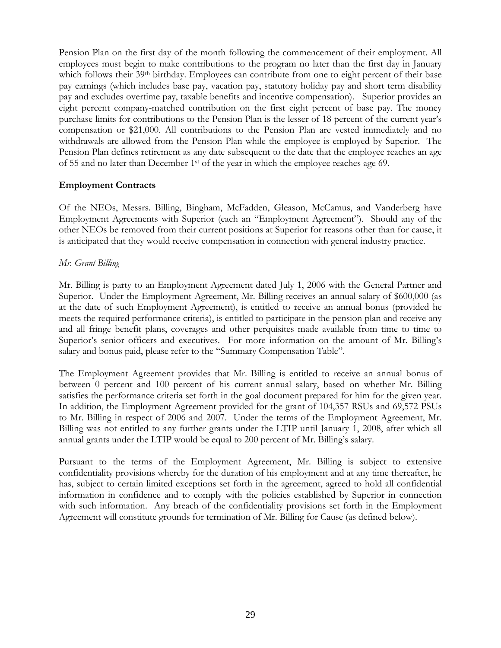Pension Plan on the first day of the month following the commencement of their employment. All employees must begin to make contributions to the program no later than the first day in January which follows their 39<sup>th</sup> birthday. Employees can contribute from one to eight percent of their base pay earnings (which includes base pay, vacation pay, statutory holiday pay and short term disability pay and excludes overtime pay, taxable benefits and incentive compensation). Superior provides an eight percent company-matched contribution on the first eight percent of base pay. The money purchase limits for contributions to the Pension Plan is the lesser of 18 percent of the current year's compensation or \$21,000. All contributions to the Pension Plan are vested immediately and no withdrawals are allowed from the Pension Plan while the employee is employed by Superior. The Pension Plan defines retirement as any date subsequent to the date that the employee reaches an age of 55 and no later than December 1st of the year in which the employee reaches age 69.

### **Employment Contracts**

Of the NEOs, Messrs. Billing, Bingham, McFadden, Gleason, McCamus, and Vanderberg have Employment Agreements with Superior (each an "Employment Agreement"). Should any of the other NEOs be removed from their current positions at Superior for reasons other than for cause, it is anticipated that they would receive compensation in connection with general industry practice.

### *Mr. Grant Billing*

Mr. Billing is party to an Employment Agreement dated July 1, 2006 with the General Partner and Superior. Under the Employment Agreement, Mr. Billing receives an annual salary of \$600,000 (as at the date of such Employment Agreement), is entitled to receive an annual bonus (provided he meets the required performance criteria), is entitled to participate in the pension plan and receive any and all fringe benefit plans, coverages and other perquisites made available from time to time to Superior's senior officers and executives. For more information on the amount of Mr. Billing's salary and bonus paid, please refer to the "Summary Compensation Table".

The Employment Agreement provides that Mr. Billing is entitled to receive an annual bonus of between 0 percent and 100 percent of his current annual salary, based on whether Mr. Billing satisfies the performance criteria set forth in the goal document prepared for him for the given year. In addition, the Employment Agreement provided for the grant of 104,357 RSUs and 69,572 PSUs to Mr. Billing in respect of 2006 and 2007. Under the terms of the Employment Agreement, Mr. Billing was not entitled to any further grants under the LTIP until January 1, 2008, after which all annual grants under the LTIP would be equal to 200 percent of Mr. Billing's salary.

Pursuant to the terms of the Employment Agreement, Mr. Billing is subject to extensive confidentiality provisions whereby for the duration of his employment and at any time thereafter, he has, subject to certain limited exceptions set forth in the agreement, agreed to hold all confidential information in confidence and to comply with the policies established by Superior in connection with such information. Any breach of the confidentiality provisions set forth in the Employment Agreement will constitute grounds for termination of Mr. Billing for Cause (as defined below).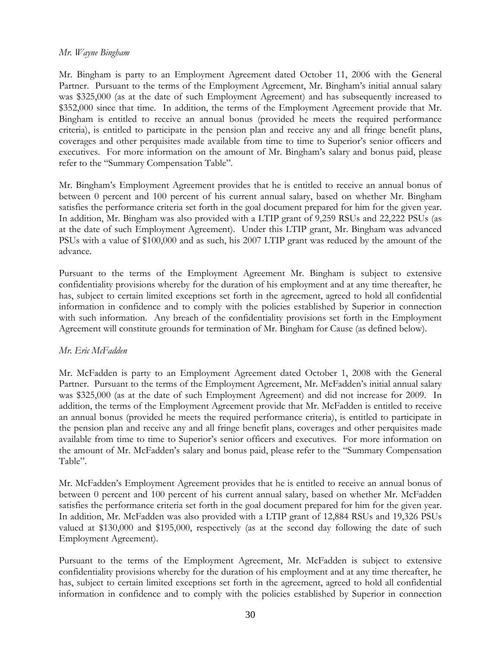### *Mr. Wayne Bingham*

Mr. Bingham is party to an Employment Agreement dated October 11, 2006 with the General Partner. Pursuant to the terms of the Employment Agreement, Mr. Bingham's initial annual salary was \$325,000 (as at the date of such Employment Agreement) and has subsequently increased to \$352,000 since that time. In addition, the terms of the Employment Agreement provide that Mr. Bingham is entitled to receive an annual bonus (provided he meets the required performance criteria), is entitled to participate in the pension plan and receive any and all fringe benefit plans, coverages and other perquisites made available from time to time to Superior's senior officers and executives. For more information on the amount of Mr. Bingham's salary and bonus paid, please refer to the "Summary Compensation Table".

Mr. Bingham's Employment Agreement provides that he is entitled to receive an annual bonus of between 0 percent and 100 percent of his current annual salary, based on whether Mr. Bingham satisfies the performance criteria set forth in the goal document prepared for him for the given year. In addition, Mr. Bingham was also provided with a LTIP grant of 9,259 RSUs and 22,222 PSUs (as at the date of such Employment Agreement). Under this LTIP grant, Mr. Bingham was advanced PSUs with a value of \$100,000 and as such, his 2007 LTIP grant was reduced by the amount of the advance.

Pursuant to the terms of the Employment Agreement Mr. Bingham is subject to extensive confidentiality provisions whereby for the duration of his employment and at any time thereafter, he has, subject to certain limited exceptions set forth in the agreement, agreed to hold all confidential information in confidence and to comply with the policies established by Superior in connection with such information. Any breach of the confidentiality provisions set forth in the Employment Agreement will constitute grounds for termination of Mr. Bingham for Cause (as defined below).

### *Mr. Eric McFadden*

Mr. McFadden is party to an Employment Agreement dated October 1, 2008 with the General Partner. Pursuant to the terms of the Employment Agreement, Mr. McFadden's initial annual salary was \$325,000 (as at the date of such Employment Agreement) and did not increase for 2009. In addition, the terms of the Employment Agreement provide that Mr. McFadden is entitled to receive an annual bonus (provided he meets the required performance criteria), is entitled to participate in the pension plan and receive any and all fringe benefit plans, coverages and other perquisites made available from time to time to Superior's senior officers and executives. For more information on the amount of Mr. McFadden's salary and bonus paid, please refer to the "Summary Compensation Table".

Mr. McFadden's Employment Agreement provides that he is entitled to receive an annual bonus of between 0 percent and 100 percent of his current annual salary, based on whether Mr. McFadden satisfies the performance criteria set forth in the goal document prepared for him for the given year. In addition, Mr. McFadden was also provided with a LTIP grant of 12,884 RSUs and 19,326 PSUs valued at \$130,000 and \$195,000, respectively (as at the second day following the date of such Employment Agreement).

Pursuant to the terms of the Employment Agreement, Mr. McFadden is subject to extensive confidentiality provisions whereby for the duration of his employment and at any time thereafter, he has, subject to certain limited exceptions set forth in the agreement, agreed to hold all confidential information in confidence and to comply with the policies established by Superior in connection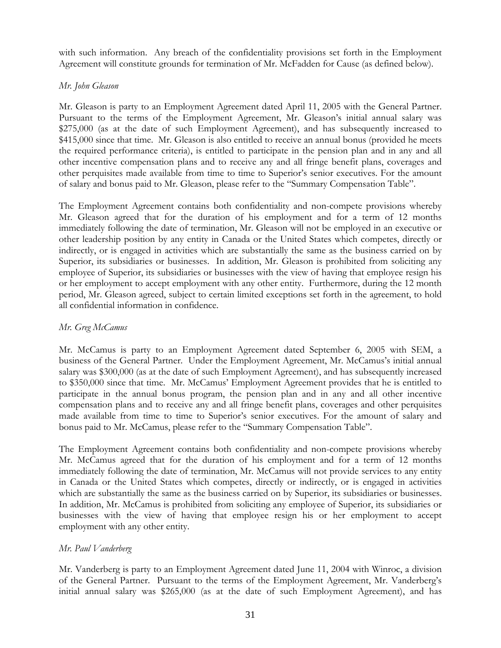with such information. Any breach of the confidentiality provisions set forth in the Employment Agreement will constitute grounds for termination of Mr. McFadden for Cause (as defined below).

### *Mr. John Gleason*

Mr. Gleason is party to an Employment Agreement dated April 11, 2005 with the General Partner. Pursuant to the terms of the Employment Agreement, Mr. Gleason's initial annual salary was \$275,000 (as at the date of such Employment Agreement), and has subsequently increased to \$415,000 since that time. Mr. Gleason is also entitled to receive an annual bonus (provided he meets the required performance criteria), is entitled to participate in the pension plan and in any and all other incentive compensation plans and to receive any and all fringe benefit plans, coverages and other perquisites made available from time to time to Superior's senior executives. For the amount of salary and bonus paid to Mr. Gleason, please refer to the "Summary Compensation Table".

The Employment Agreement contains both confidentiality and non-compete provisions whereby Mr. Gleason agreed that for the duration of his employment and for a term of 12 months immediately following the date of termination, Mr. Gleason will not be employed in an executive or other leadership position by any entity in Canada or the United States which competes, directly or indirectly, or is engaged in activities which are substantially the same as the business carried on by Superior, its subsidiaries or businesses. In addition, Mr. Gleason is prohibited from soliciting any employee of Superior, its subsidiaries or businesses with the view of having that employee resign his or her employment to accept employment with any other entity. Furthermore, during the 12 month period, Mr. Gleason agreed, subject to certain limited exceptions set forth in the agreement, to hold all confidential information in confidence.

### *Mr. Greg McCamus*

Mr. McCamus is party to an Employment Agreement dated September 6, 2005 with SEM, a business of the General Partner. Under the Employment Agreement, Mr. McCamus's initial annual salary was \$300,000 (as at the date of such Employment Agreement), and has subsequently increased to \$350,000 since that time. Mr. McCamus' Employment Agreement provides that he is entitled to participate in the annual bonus program, the pension plan and in any and all other incentive compensation plans and to receive any and all fringe benefit plans, coverages and other perquisites made available from time to time to Superior's senior executives. For the amount of salary and bonus paid to Mr. McCamus, please refer to the "Summary Compensation Table".

The Employment Agreement contains both confidentiality and non-compete provisions whereby Mr. McCamus agreed that for the duration of his employment and for a term of 12 months immediately following the date of termination, Mr. McCamus will not provide services to any entity in Canada or the United States which competes, directly or indirectly, or is engaged in activities which are substantially the same as the business carried on by Superior, its subsidiaries or businesses. In addition, Mr. McCamus is prohibited from soliciting any employee of Superior, its subsidiaries or businesses with the view of having that employee resign his or her employment to accept employment with any other entity.

### *Mr. Paul Vanderberg*

Mr. Vanderberg is party to an Employment Agreement dated June 11, 2004 with Winroc, a division of the General Partner. Pursuant to the terms of the Employment Agreement, Mr. Vanderberg's initial annual salary was \$265,000 (as at the date of such Employment Agreement), and has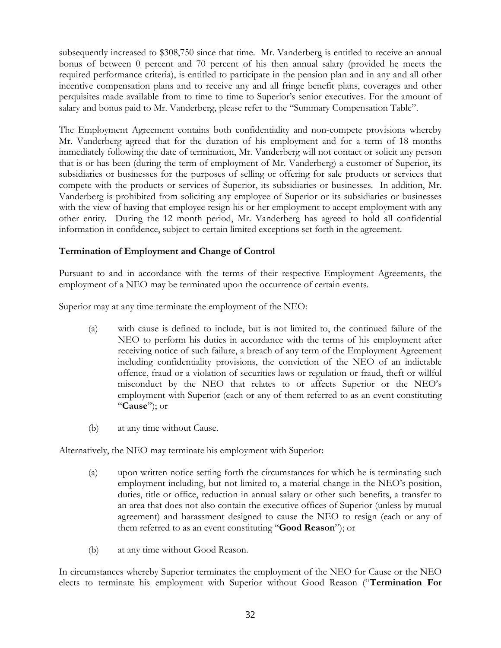subsequently increased to \$308,750 since that time. Mr. Vanderberg is entitled to receive an annual bonus of between 0 percent and 70 percent of his then annual salary (provided he meets the required performance criteria), is entitled to participate in the pension plan and in any and all other incentive compensation plans and to receive any and all fringe benefit plans, coverages and other perquisites made available from to time to time to Superior's senior executives. For the amount of salary and bonus paid to Mr. Vanderberg, please refer to the "Summary Compensation Table".

The Employment Agreement contains both confidentiality and non-compete provisions whereby Mr. Vanderberg agreed that for the duration of his employment and for a term of 18 months immediately following the date of termination, Mr. Vanderberg will not contact or solicit any person that is or has been (during the term of employment of Mr. Vanderberg) a customer of Superior, its subsidiaries or businesses for the purposes of selling or offering for sale products or services that compete with the products or services of Superior, its subsidiaries or businesses. In addition, Mr. Vanderberg is prohibited from soliciting any employee of Superior or its subsidiaries or businesses with the view of having that employee resign his or her employment to accept employment with any other entity. During the 12 month period, Mr. Vanderberg has agreed to hold all confidential information in confidence, subject to certain limited exceptions set forth in the agreement.

### **Termination of Employment and Change of Control**

Pursuant to and in accordance with the terms of their respective Employment Agreements, the employment of a NEO may be terminated upon the occurrence of certain events.

Superior may at any time terminate the employment of the NEO:

- (a) with cause is defined to include, but is not limited to, the continued failure of the NEO to perform his duties in accordance with the terms of his employment after receiving notice of such failure, a breach of any term of the Employment Agreement including confidentiality provisions, the conviction of the NEO of an indictable offence, fraud or a violation of securities laws or regulation or fraud, theft or willful misconduct by the NEO that relates to or affects Superior or the NEO's employment with Superior (each or any of them referred to as an event constituting "**Cause**"); or
- (b) at any time without Cause.

Alternatively, the NEO may terminate his employment with Superior:

- (a) upon written notice setting forth the circumstances for which he is terminating such employment including, but not limited to, a material change in the NEO's position, duties, title or office, reduction in annual salary or other such benefits, a transfer to an area that does not also contain the executive offices of Superior (unless by mutual agreement) and harassment designed to cause the NEO to resign (each or any of them referred to as an event constituting "**Good Reason**"); or
- (b) at any time without Good Reason.

In circumstances whereby Superior terminates the employment of the NEO for Cause or the NEO elects to terminate his employment with Superior without Good Reason ("**Termination For**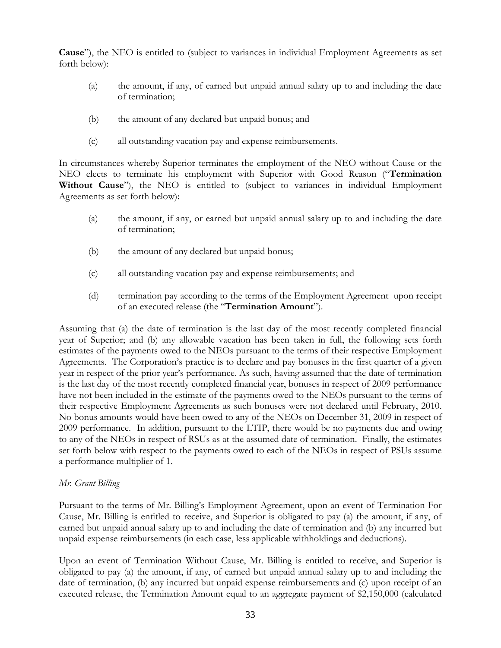**Cause**"), the NEO is entitled to (subject to variances in individual Employment Agreements as set forth below):

- (a) the amount, if any, of earned but unpaid annual salary up to and including the date of termination;
- (b) the amount of any declared but unpaid bonus; and
- (c) all outstanding vacation pay and expense reimbursements.

In circumstances whereby Superior terminates the employment of the NEO without Cause or the NEO elects to terminate his employment with Superior with Good Reason ("**Termination Without Cause**"), the NEO is entitled to (subject to variances in individual Employment Agreements as set forth below):

- (a) the amount, if any, or earned but unpaid annual salary up to and including the date of termination;
- (b) the amount of any declared but unpaid bonus;
- (c) all outstanding vacation pay and expense reimbursements; and
- (d) termination pay according to the terms of the Employment Agreement upon receipt of an executed release (the "**Termination Amount**").

Assuming that (a) the date of termination is the last day of the most recently completed financial year of Superior; and (b) any allowable vacation has been taken in full, the following sets forth estimates of the payments owed to the NEOs pursuant to the terms of their respective Employment Agreements. The Corporation's practice is to declare and pay bonuses in the first quarter of a given year in respect of the prior year's performance. As such, having assumed that the date of termination is the last day of the most recently completed financial year, bonuses in respect of 2009 performance have not been included in the estimate of the payments owed to the NEOs pursuant to the terms of their respective Employment Agreements as such bonuses were not declared until February, 2010. No bonus amounts would have been owed to any of the NEOs on December 31, 2009 in respect of 2009 performance. In addition, pursuant to the LTIP, there would be no payments due and owing to any of the NEOs in respect of RSUs as at the assumed date of termination. Finally, the estimates set forth below with respect to the payments owed to each of the NEOs in respect of PSUs assume a performance multiplier of 1.

### *Mr. Grant Billing*

Pursuant to the terms of Mr. Billing's Employment Agreement, upon an event of Termination For Cause, Mr. Billing is entitled to receive, and Superior is obligated to pay (a) the amount, if any, of earned but unpaid annual salary up to and including the date of termination and (b) any incurred but unpaid expense reimbursements (in each case, less applicable withholdings and deductions).

Upon an event of Termination Without Cause, Mr. Billing is entitled to receive, and Superior is obligated to pay (a) the amount, if any, of earned but unpaid annual salary up to and including the date of termination, (b) any incurred but unpaid expense reimbursements and (c) upon receipt of an executed release, the Termination Amount equal to an aggregate payment of \$2,150,000 (calculated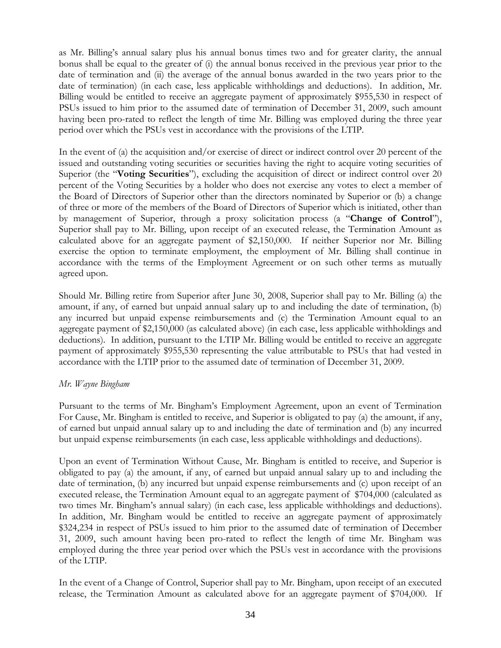as Mr. Billing's annual salary plus his annual bonus times two and for greater clarity, the annual bonus shall be equal to the greater of (i) the annual bonus received in the previous year prior to the date of termination and (ii) the average of the annual bonus awarded in the two years prior to the date of termination) (in each case, less applicable withholdings and deductions). In addition, Mr. Billing would be entitled to receive an aggregate payment of approximately \$955,530 in respect of PSUs issued to him prior to the assumed date of termination of December 31, 2009, such amount having been pro-rated to reflect the length of time Mr. Billing was employed during the three year period over which the PSUs vest in accordance with the provisions of the LTIP.

In the event of (a) the acquisition and/or exercise of direct or indirect control over 20 percent of the issued and outstanding voting securities or securities having the right to acquire voting securities of Superior (the "**Voting Securities**"), excluding the acquisition of direct or indirect control over 20 percent of the Voting Securities by a holder who does not exercise any votes to elect a member of the Board of Directors of Superior other than the directors nominated by Superior or (b) a change of three or more of the members of the Board of Directors of Superior which is initiated, other than by management of Superior, through a proxy solicitation process (a "**Change of Control**"), Superior shall pay to Mr. Billing, upon receipt of an executed release, the Termination Amount as calculated above for an aggregate payment of \$2,150,000. If neither Superior nor Mr. Billing exercise the option to terminate employment, the employment of Mr. Billing shall continue in accordance with the terms of the Employment Agreement or on such other terms as mutually agreed upon.

Should Mr. Billing retire from Superior after June 30, 2008, Superior shall pay to Mr. Billing (a) the amount, if any, of earned but unpaid annual salary up to and including the date of termination, (b) any incurred but unpaid expense reimbursements and (c) the Termination Amount equal to an aggregate payment of \$2,150,000 (as calculated above) (in each case, less applicable withholdings and deductions). In addition, pursuant to the LTIP Mr. Billing would be entitled to receive an aggregate payment of approximately \$955,530 representing the value attributable to PSUs that had vested in accordance with the LTIP prior to the assumed date of termination of December 31, 2009.

### *Mr. Wayne Bingham*

Pursuant to the terms of Mr. Bingham's Employment Agreement, upon an event of Termination For Cause, Mr. Bingham is entitled to receive, and Superior is obligated to pay (a) the amount, if any, of earned but unpaid annual salary up to and including the date of termination and (b) any incurred but unpaid expense reimbursements (in each case, less applicable withholdings and deductions).

Upon an event of Termination Without Cause, Mr. Bingham is entitled to receive, and Superior is obligated to pay (a) the amount, if any, of earned but unpaid annual salary up to and including the date of termination, (b) any incurred but unpaid expense reimbursements and (c) upon receipt of an executed release, the Termination Amount equal to an aggregate payment of \$704,000 (calculated as two times Mr. Bingham's annual salary) (in each case, less applicable withholdings and deductions). In addition, Mr. Bingham would be entitled to receive an aggregate payment of approximately \$324,234 in respect of PSUs issued to him prior to the assumed date of termination of December 31, 2009, such amount having been pro-rated to reflect the length of time Mr. Bingham was employed during the three year period over which the PSUs vest in accordance with the provisions of the LTIP.

In the event of a Change of Control, Superior shall pay to Mr. Bingham, upon receipt of an executed release, the Termination Amount as calculated above for an aggregate payment of \$704,000. If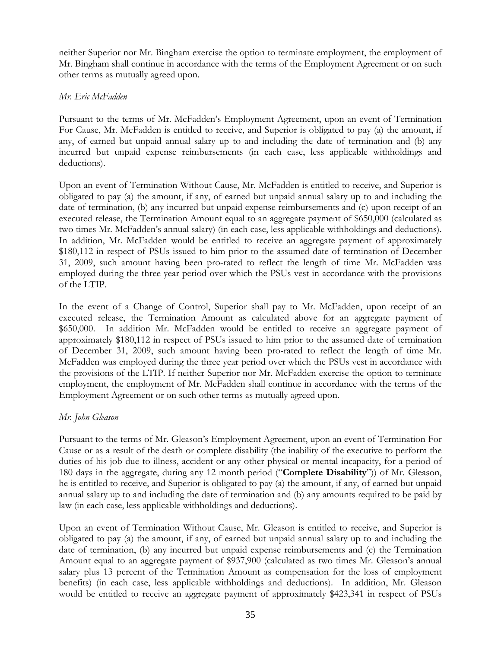neither Superior nor Mr. Bingham exercise the option to terminate employment, the employment of Mr. Bingham shall continue in accordance with the terms of the Employment Agreement or on such other terms as mutually agreed upon.

### *Mr. Eric McFadden*

Pursuant to the terms of Mr. McFadden's Employment Agreement, upon an event of Termination For Cause, Mr. McFadden is entitled to receive, and Superior is obligated to pay (a) the amount, if any, of earned but unpaid annual salary up to and including the date of termination and (b) any incurred but unpaid expense reimbursements (in each case, less applicable withholdings and deductions).

Upon an event of Termination Without Cause, Mr. McFadden is entitled to receive, and Superior is obligated to pay (a) the amount, if any, of earned but unpaid annual salary up to and including the date of termination, (b) any incurred but unpaid expense reimbursements and (c) upon receipt of an executed release, the Termination Amount equal to an aggregate payment of \$650,000 (calculated as two times Mr. McFadden's annual salary) (in each case, less applicable withholdings and deductions). In addition, Mr. McFadden would be entitled to receive an aggregate payment of approximately \$180,112 in respect of PSUs issued to him prior to the assumed date of termination of December 31, 2009, such amount having been pro-rated to reflect the length of time Mr. McFadden was employed during the three year period over which the PSUs vest in accordance with the provisions of the LTIP.

In the event of a Change of Control, Superior shall pay to Mr. McFadden, upon receipt of an executed release, the Termination Amount as calculated above for an aggregate payment of \$650,000. In addition Mr. McFadden would be entitled to receive an aggregate payment of approximately \$180,112 in respect of PSUs issued to him prior to the assumed date of termination of December 31, 2009, such amount having been pro-rated to reflect the length of time Mr. McFadden was employed during the three year period over which the PSUs vest in accordance with the provisions of the LTIP. If neither Superior nor Mr. McFadden exercise the option to terminate employment, the employment of Mr. McFadden shall continue in accordance with the terms of the Employment Agreement or on such other terms as mutually agreed upon.

### *Mr. John Gleason*

Pursuant to the terms of Mr. Gleason's Employment Agreement, upon an event of Termination For Cause or as a result of the death or complete disability (the inability of the executive to perform the duties of his job due to illness, accident or any other physical or mental incapacity, for a period of 180 days in the aggregate, during any 12 month period ("**Complete Disability**")) of Mr. Gleason, he is entitled to receive, and Superior is obligated to pay (a) the amount, if any, of earned but unpaid annual salary up to and including the date of termination and (b) any amounts required to be paid by law (in each case, less applicable withholdings and deductions).

Upon an event of Termination Without Cause, Mr. Gleason is entitled to receive, and Superior is obligated to pay (a) the amount, if any, of earned but unpaid annual salary up to and including the date of termination, (b) any incurred but unpaid expense reimbursements and (c) the Termination Amount equal to an aggregate payment of \$937,900 (calculated as two times Mr. Gleason's annual salary plus 13 percent of the Termination Amount as compensation for the loss of employment benefits) (in each case, less applicable withholdings and deductions). In addition, Mr. Gleason would be entitled to receive an aggregate payment of approximately \$423,341 in respect of PSUs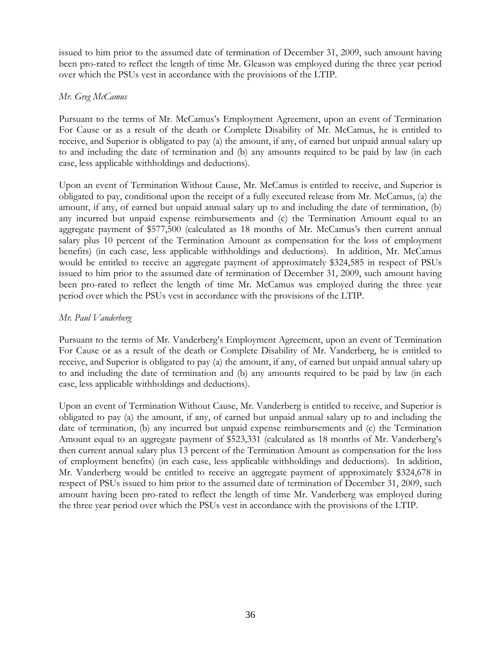issued to him prior to the assumed date of termination of December 31, 2009, such amount having been pro-rated to reflect the length of time Mr. Gleason was employed during the three year period over which the PSUs vest in accordance with the provisions of the LTIP.

### *Mr. Greg McCamus*

Pursuant to the terms of Mr. McCamus's Employment Agreement, upon an event of Termination For Cause or as a result of the death or Complete Disability of Mr. McCamus, he is entitled to receive, and Superior is obligated to pay (a) the amount, if any, of earned but unpaid annual salary up to and including the date of termination and (b) any amounts required to be paid by law (in each case, less applicable withholdings and deductions).

Upon an event of Termination Without Cause, Mr. McCamus is entitled to receive, and Superior is obligated to pay, conditional upon the receipt of a fully executed release from Mr. McCamus, (a) the amount, if any, of earned but unpaid annual salary up to and including the date of termination, (b) any incurred but unpaid expense reimbursements and (c) the Termination Amount equal to an aggregate payment of \$577,500 (calculated as 18 months of Mr. McCamus's then current annual salary plus 10 percent of the Termination Amount as compensation for the loss of employment benefits) (in each case, less applicable withholdings and deductions). In addition, Mr. McCamus would be entitled to receive an aggregate payment of approximately \$324,585 in respect of PSUs issued to him prior to the assumed date of termination of December 31, 2009, such amount having been pro-rated to reflect the length of time Mr. McCamus was employed during the three year period over which the PSUs vest in accordance with the provisions of the LTIP.

### *Mr. Paul Vanderberg*

Pursuant to the terms of Mr. Vanderberg's Employment Agreement, upon an event of Termination For Cause or as a result of the death or Complete Disability of Mr. Vanderberg, he is entitled to receive, and Superior is obligated to pay (a) the amount, if any, of earned but unpaid annual salary up to and including the date of termination and (b) any amounts required to be paid by law (in each case, less applicable withholdings and deductions).

Upon an event of Termination Without Cause, Mr. Vanderberg is entitled to receive, and Superior is obligated to pay (a) the amount, if any, of earned but unpaid annual salary up to and including the date of termination, (b) any incurred but unpaid expense reimbursements and (c) the Termination Amount equal to an aggregate payment of \$523,331 (calculated as 18 months of Mr. Vanderberg's then current annual salary plus 13 percent of the Termination Amount as compensation for the loss of employment benefits) (in each case, less applicable withholdings and deductions). In addition, Mr. Vanderberg would be entitled to receive an aggregate payment of approximately \$324,678 in respect of PSUs issued to him prior to the assumed date of termination of December 31, 2009, such amount having been pro-rated to reflect the length of time Mr. Vanderberg was employed during the three year period over which the PSUs vest in accordance with the provisions of the LTIP.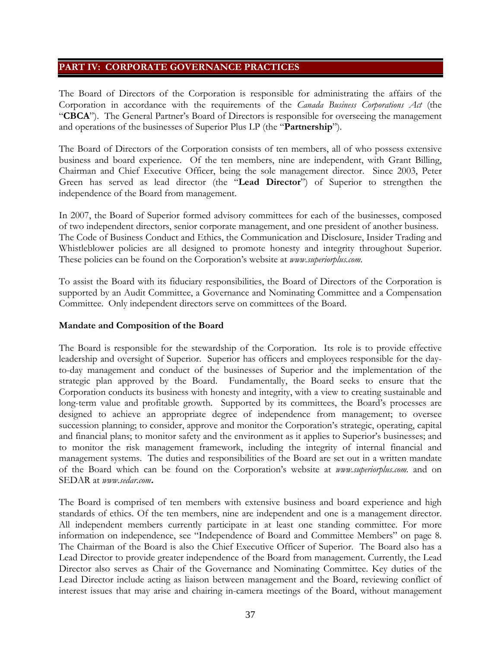### **PART IV: CORPORATE GOVERNANCE PRACTICES**

The Board of Directors of the Corporation is responsible for administrating the affairs of the Corporation in accordance with the requirements of the *Canada Business Corporations Act* (the "**CBCA**").The General Partner's Board of Directors is responsible for overseeing the management and operations of the businesses of Superior Plus LP (the "**Partnership**").

The Board of Directors of the Corporation consists of ten members, all of who possess extensive business and board experience. Of the ten members, nine are independent, with Grant Billing, Chairman and Chief Executive Officer, being the sole management director. Since 2003, Peter Green has served as lead director (the "**Lead Director**") of Superior to strengthen the independence of the Board from management.

In 2007, the Board of Superior formed advisory committees for each of the businesses, composed of two independent directors, senior corporate management, and one president of another business. The Code of Business Conduct and Ethics, the Communication and Disclosure, Insider Trading and Whistleblower policies are all designed to promote honesty and integrity throughout Superior. These policies can be found on the Corporation's website at *www.superiorplus.com*.

To assist the Board with its fiduciary responsibilities, the Board of Directors of the Corporation is supported by an Audit Committee, a Governance and Nominating Committee and a Compensation Committee. Only independent directors serve on committees of the Board.

### **Mandate and Composition of the Board**

The Board is responsible for the stewardship of the Corporation. Its role is to provide effective leadership and oversight of Superior. Superior has officers and employees responsible for the dayto-day management and conduct of the businesses of Superior and the implementation of the strategic plan approved by the Board. Fundamentally, the Board seeks to ensure that the Corporation conducts its business with honesty and integrity, with a view to creating sustainable and long-term value and profitable growth. Supported by its committees, the Board's processes are designed to achieve an appropriate degree of independence from management; to oversee succession planning; to consider, approve and monitor the Corporation's strategic, operating, capital and financial plans; to monitor safety and the environment as it applies to Superior's businesses; and to monitor the risk management framework, including the integrity of internal financial and management systems. The duties and responsibilities of the Board are set out in a written mandate of the Board which can be found on the Corporation's website at *www.superiorplus.com.* and on SEDAR at *www.sedar.com***.** 

The Board is comprised of ten members with extensive business and board experience and high standards of ethics. Of the ten members, nine are independent and one is a management director. All independent members currently participate in at least one standing committee. For more information on independence, see "Independence of Board and Committee Members" on page 8. The Chairman of the Board is also the Chief Executive Officer of Superior. The Board also has a Lead Director to provide greater independence of the Board from management. Currently, the Lead Director also serves as Chair of the Governance and Nominating Committee. Key duties of the Lead Director include acting as liaison between management and the Board, reviewing conflict of interest issues that may arise and chairing in-camera meetings of the Board, without management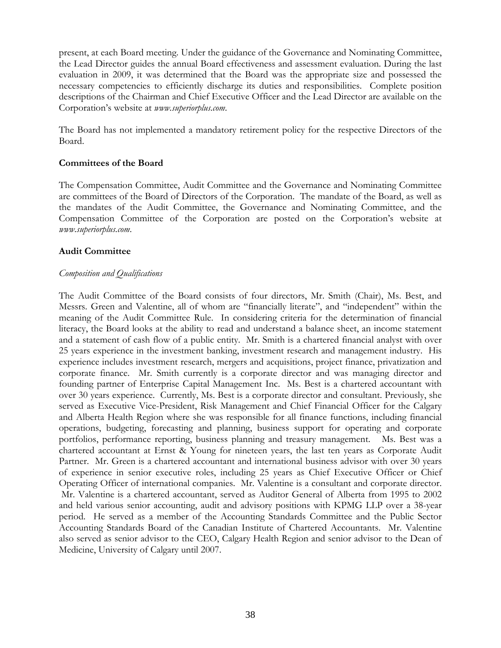present, at each Board meeting. Under the guidance of the Governance and Nominating Committee, the Lead Director guides the annual Board effectiveness and assessment evaluation. During the last evaluation in 2009, it was determined that the Board was the appropriate size and possessed the necessary competencies to efficiently discharge its duties and responsibilities. Complete position descriptions of the Chairman and Chief Executive Officer and the Lead Director are available on the Corporation's website at *www.superiorplus.com*.

The Board has not implemented a mandatory retirement policy for the respective Directors of the Board.

### **Committees of the Board**

The Compensation Committee, Audit Committee and the Governance and Nominating Committee are committees of the Board of Directors of the Corporation. The mandate of the Board, as well as the mandates of the Audit Committee, the Governance and Nominating Committee, and the Compensation Committee of the Corporation are posted on the Corporation's website at *www.superiorplus.com*.

### **Audit Committee**

### *Composition and Qualifications*

The Audit Committee of the Board consists of four directors, Mr. Smith (Chair), Ms. Best, and Messrs. Green and Valentine, all of whom are "financially literate", and "independent" within the meaning of the Audit Committee Rule. In considering criteria for the determination of financial literacy, the Board looks at the ability to read and understand a balance sheet, an income statement and a statement of cash flow of a public entity. Mr. Smith is a chartered financial analyst with over 25 years experience in the investment banking, investment research and management industry. His experience includes investment research, mergers and acquisitions, project finance, privatization and corporate finance. Mr. Smith currently is a corporate director and was managing director and founding partner of Enterprise Capital Management Inc. Ms. Best is a chartered accountant with over 30 years experience. Currently, Ms. Best is a corporate director and consultant. Previously, she served as Executive Vice-President, Risk Management and Chief Financial Officer for the Calgary and Alberta Health Region where she was responsible for all finance functions, including financial operations, budgeting, forecasting and planning, business support for operating and corporate portfolios, performance reporting, business planning and treasury management. Ms. Best was a chartered accountant at Ernst & Young for nineteen years, the last ten years as Corporate Audit Partner. Mr. Green is a chartered accountant and international business advisor with over 30 years of experience in senior executive roles, including 25 years as Chief Executive Officer or Chief Operating Officer of international companies. Mr. Valentine is a consultant and corporate director. Mr. Valentine is a chartered accountant, served as Auditor General of Alberta from 1995 to 2002 and held various senior accounting, audit and advisory positions with KPMG LLP over a 38-year period. He served as a member of the Accounting Standards Committee and the Public Sector Accounting Standards Board of the Canadian Institute of Chartered Accountants. Mr. Valentine also served as senior advisor to the CEO, Calgary Health Region and senior advisor to the Dean of Medicine, University of Calgary until 2007.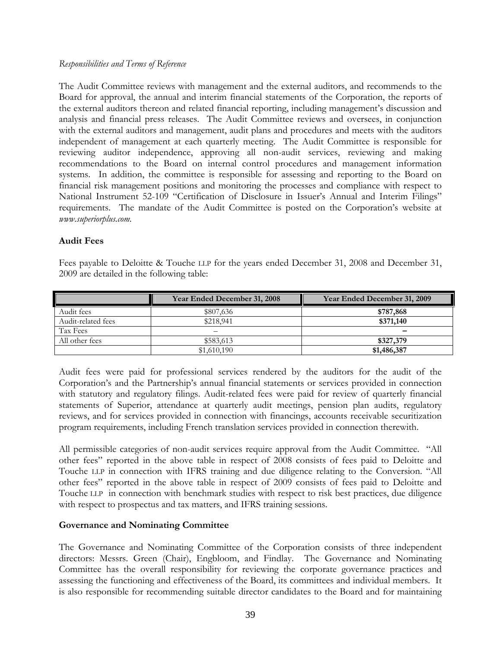### *Responsibilities and Terms of Reference*

The Audit Committee reviews with management and the external auditors, and recommends to the Board for approval, the annual and interim financial statements of the Corporation, the reports of the external auditors thereon and related financial reporting, including management's discussion and analysis and financial press releases. The Audit Committee reviews and oversees, in conjunction with the external auditors and management, audit plans and procedures and meets with the auditors independent of management at each quarterly meeting. The Audit Committee is responsible for reviewing auditor independence, approving all non-audit services, reviewing and making recommendations to the Board on internal control procedures and management information systems. In addition, the committee is responsible for assessing and reporting to the Board on financial risk management positions and monitoring the processes and compliance with respect to National Instrument 52-109 "Certification of Disclosure in Issuer's Annual and Interim Filings" requirements. The mandate of the Audit Committee is posted on the Corporation's website at *www.superiorplus.com.* 

### **Audit Fees**

Fees payable to Deloitte & Touche LLP for the years ended December 31, 2008 and December 31, 2009 are detailed in the following table:

|                    | Year Ended December 31, 2008 | Year Ended December 31, 2009 |
|--------------------|------------------------------|------------------------------|
| Audit fees         | \$807,636                    | \$787,868                    |
| Audit-related fees | \$218.941                    | \$371,140                    |
| Tax Fees           |                              |                              |
| All other fees     | \$583,613                    | \$327,379                    |
|                    | \$1,610,190                  | \$1,486,387                  |

Audit fees were paid for professional services rendered by the auditors for the audit of the Corporation's and the Partnership's annual financial statements or services provided in connection with statutory and regulatory filings. Audit-related fees were paid for review of quarterly financial statements of Superior, attendance at quarterly audit meetings, pension plan audits, regulatory reviews, and for services provided in connection with financings, accounts receivable securitization program requirements, including French translation services provided in connection therewith.

All permissible categories of non-audit services require approval from the Audit Committee. "All other fees" reported in the above table in respect of 2008 consists of fees paid to Deloitte and Touche LLP in connection with IFRS training and due diligence relating to the Conversion. "All other fees" reported in the above table in respect of 2009 consists of fees paid to Deloitte and Touche LLP in connection with benchmark studies with respect to risk best practices, due diligence with respect to prospectus and tax matters, and IFRS training sessions.

### **Governance and Nominating Committee**

The Governance and Nominating Committee of the Corporation consists of three independent directors: Messrs. Green (Chair), Engbloom, and Findlay. The Governance and Nominating Committee has the overall responsibility for reviewing the corporate governance practices and assessing the functioning and effectiveness of the Board, its committees and individual members. It is also responsible for recommending suitable director candidates to the Board and for maintaining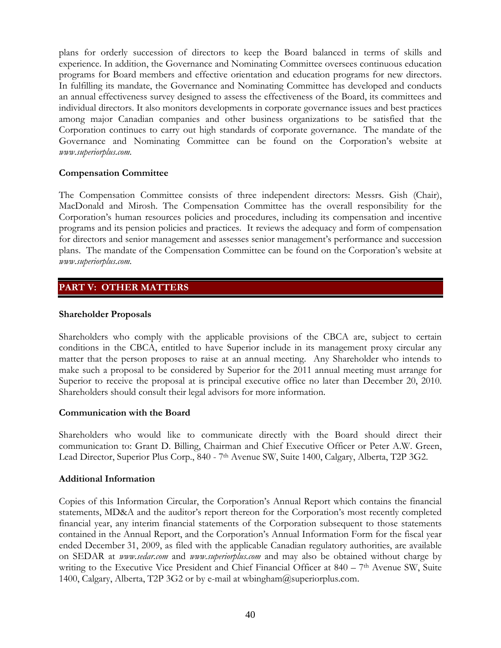plans for orderly succession of directors to keep the Board balanced in terms of skills and experience. In addition, the Governance and Nominating Committee oversees continuous education programs for Board members and effective orientation and education programs for new directors. In fulfilling its mandate, the Governance and Nominating Committee has developed and conducts an annual effectiveness survey designed to assess the effectiveness of the Board, its committees and individual directors. It also monitors developments in corporate governance issues and best practices among major Canadian companies and other business organizations to be satisfied that the Corporation continues to carry out high standards of corporate governance. The mandate of the Governance and Nominating Committee can be found on the Corporation's website at *www.superiorplus.com.*

### **Compensation Committee**

The Compensation Committee consists of three independent directors: Messrs. Gish (Chair), MacDonald and Mirosh. The Compensation Committee has the overall responsibility for the Corporation's human resources policies and procedures, including its compensation and incentive programs and its pension policies and practices. It reviews the adequacy and form of compensation for directors and senior management and assesses senior management's performance and succession plans. The mandate of the Compensation Committee can be found on the Corporation's website at *www.superiorplus.com.*

## **PART V: OTHER MATTERS**

### **Shareholder Proposals**

Shareholders who comply with the applicable provisions of the CBCA are, subject to certain conditions in the CBCA, entitled to have Superior include in its management proxy circular any matter that the person proposes to raise at an annual meeting. Any Shareholder who intends to make such a proposal to be considered by Superior for the 2011 annual meeting must arrange for Superior to receive the proposal at is principal executive office no later than December 20, 2010. Shareholders should consult their legal advisors for more information.

### **Communication with the Board**

Shareholders who would like to communicate directly with the Board should direct their communication to: Grant D. Billing, Chairman and Chief Executive Officer or Peter A.W. Green, Lead Director, Superior Plus Corp., 840 - 7<sup>th</sup> Avenue SW, Suite 1400, Calgary, Alberta, T2P 3G2.

### **Additional Information**

Copies of this Information Circular, the Corporation's Annual Report which contains the financial statements, MD&A and the auditor's report thereon for the Corporation's most recently completed financial year, any interim financial statements of the Corporation subsequent to those statements contained in the Annual Report, and the Corporation's Annual Information Form for the fiscal year ended December 31, 2009, as filed with the applicable Canadian regulatory authorities, are available on SEDAR at *www.sedar.com* and *www.superiorplus.com* and may also be obtained without charge by writing to the Executive Vice President and Chief Financial Officer at  $840 - 7<sup>th</sup>$  Avenue SW, Suite 1400, Calgary, Alberta, T2P 3G2 or by e-mail at wbingham@superiorplus.com.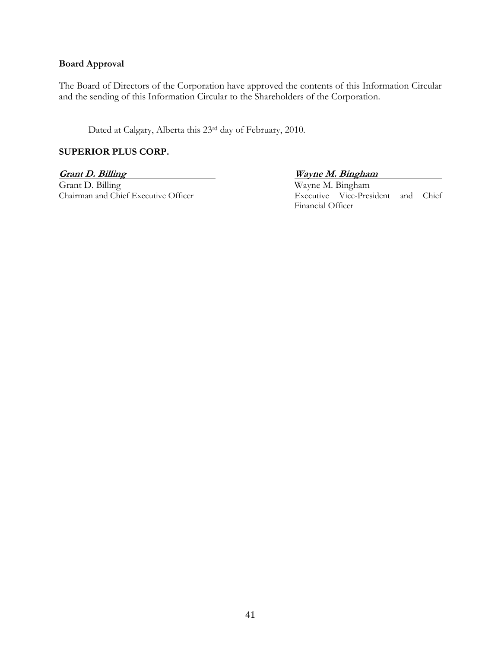### **Board Approval**

The Board of Directors of the Corporation have approved the contents of this Information Circular and the sending of this Information Circular to the Shareholders of the Corporation.

Dated at Calgary, Alberta this 23rd day of February, 2010.

### **SUPERIOR PLUS CORP.**

**Grant D. Billing Community Community Community Community Community Community Community Community Community Community Community Community Community Community Community Community Community Community Community Community Comm** Grant D. Billing Wayne M. Bingham<br>Chairman and Chief Executive Officer Executive Wayne M. Bingham<br>Executive Vice-Presi

Executive Vice-President and Chief Financial Officer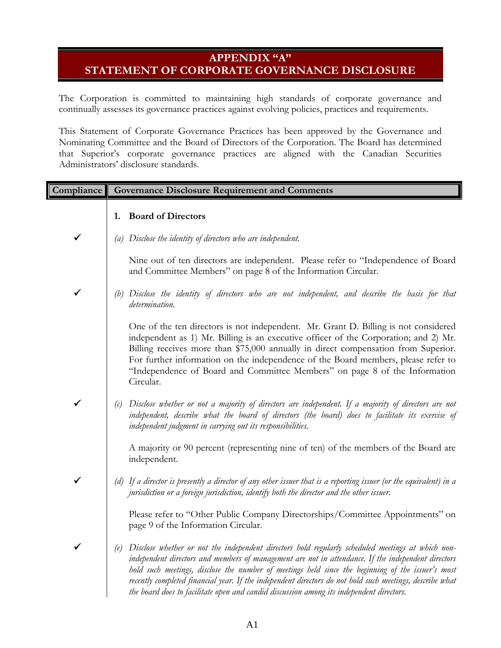# **APPENDIX "A" STATEMENT OF CORPORATE GOVERNANCE DISCLOSURE**

The Corporation is committed to maintaining high standards of corporate governance and continually assesses its governance practices against evolving policies, practices and requirements.

This Statement of Corporate Governance Practices has been approved by the Governance and Nominating Committee and the Board of Directors of the Corporation. The Board has determined that Superior's corporate governance practices are aligned with the Canadian Securities Administrators' disclosure standards.

| Compliance   | <b>Governance Disclosure Requirement and Comments</b>                                                                                                                                                                                                                                                                                                                                                                                                                                                                     |
|--------------|---------------------------------------------------------------------------------------------------------------------------------------------------------------------------------------------------------------------------------------------------------------------------------------------------------------------------------------------------------------------------------------------------------------------------------------------------------------------------------------------------------------------------|
|              | 1. Board of Directors                                                                                                                                                                                                                                                                                                                                                                                                                                                                                                     |
| ✔            | (a) Disclose the identity of directors who are independent.                                                                                                                                                                                                                                                                                                                                                                                                                                                               |
|              | Nine out of ten directors are independent. Please refer to "Independence of Board<br>and Committee Members" on page 8 of the Information Circular.                                                                                                                                                                                                                                                                                                                                                                        |
| $\checkmark$ | (b) Disclose the identity of directors who are not independent, and describe the basis for that<br>determination.                                                                                                                                                                                                                                                                                                                                                                                                         |
|              | One of the ten directors is not independent. Mr. Grant D. Billing is not considered<br>independent as 1) Mr. Billing is an executive officer of the Corporation; and 2) Mr.<br>Billing receives more than \$75,000 annually in direct compensation from Superior.<br>For further information on the independence of the Board members, please refer to<br>"Independence of Board and Committee Members" on page 8 of the Information<br>Circular.                                                                         |
| ✓            | (c) Disclose whether or not a majority of directors are independent. If a majority of directors are not<br>independent, describe what the board of directors (the board) does to facilitate its exercise of<br>independent judgment in carrying out its responsibilities.                                                                                                                                                                                                                                                 |
|              | A majority or 90 percent (representing nine of ten) of the members of the Board are<br>independent.                                                                                                                                                                                                                                                                                                                                                                                                                       |
| $\checkmark$ | (d) If a director is presently a director of any other issuer that is a reporting issuer (or the equivalent) in a<br>jurisdiction or a foreign jurisdiction, identify both the director and the other issuer.                                                                                                                                                                                                                                                                                                             |
|              | Please refer to "Other Public Company Directorships/Committee Appointments" on<br>page 9 of the Information Circular.                                                                                                                                                                                                                                                                                                                                                                                                     |
| $\checkmark$ | (e) Disclose whether or not the independent directors hold regularly scheduled meetings at which non-<br>independent directors and members of management are not in attendance. If the independent directors<br>hold such meetings, disclose the number of meetings held since the beginning of the issuer's most<br>recently completed financial year. If the independent directors do not hold such meetings, describe what<br>the board does to facilitate open and candid discussion among its independent directors. |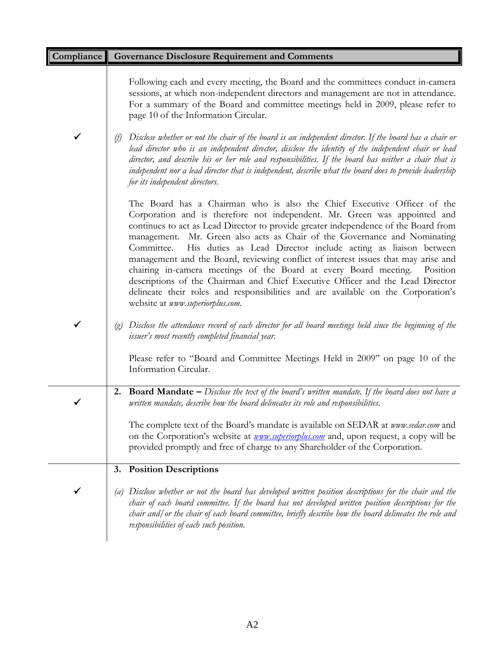| Compliance | <b>Governance Disclosure Requirement and Comments</b>                                                                                                                                                                                                                                                                                                                                                                                                                                                                                                                                                                                                                                                                                                                                    |
|------------|------------------------------------------------------------------------------------------------------------------------------------------------------------------------------------------------------------------------------------------------------------------------------------------------------------------------------------------------------------------------------------------------------------------------------------------------------------------------------------------------------------------------------------------------------------------------------------------------------------------------------------------------------------------------------------------------------------------------------------------------------------------------------------------|
|            | Following each and every meeting, the Board and the committees conduct in-camera<br>sessions, at which non-independent directors and management are not in attendance.<br>For a summary of the Board and committee meetings held in 2009, please refer to<br>page 10 of the Information Circular.                                                                                                                                                                                                                                                                                                                                                                                                                                                                                        |
| ✔          | Disclose whether or not the chair of the board is an independent director. If the board has a chair or<br>(f)<br>lead director who is an independent director, disclose the identity of the independent chair or lead<br>director, and describe his or her role and responsibilities. If the board has neither a chair that is<br>independent nor a lead director that is independent, describe what the board does to provide leadership<br>for its independent directors.                                                                                                                                                                                                                                                                                                              |
|            | The Board has a Chairman who is also the Chief Executive Officer of the<br>Corporation and is therefore not independent. Mr. Green was appointed and<br>continues to act as Lead Director to provide greater independence of the Board from<br>management. Mr. Green also acts as Chair of the Governance and Nominating<br>His duties as Lead Director include acting as liaison between<br>Committee.<br>management and the Board, reviewing conflict of interest issues that may arise and<br>chairing in-camera meetings of the Board at every Board meeting.<br>Position<br>descriptions of the Chairman and Chief Executive Officer and the Lead Director<br>delineate their roles and responsibilities and are available on the Corporation's<br>website at www.superiorplus.com. |
| ✔          | Disclose the attendance record of each director for all board meetings held since the beginning of the<br>$\left( \varrho \right)$<br>issuer's most recently completed financial year.<br>Please refer to "Board and Committee Meetings Held in 2009" on page 10 of the<br>Information Circular.                                                                                                                                                                                                                                                                                                                                                                                                                                                                                         |
|            |                                                                                                                                                                                                                                                                                                                                                                                                                                                                                                                                                                                                                                                                                                                                                                                          |
|            | <b>2. Board Mandate</b> $-$ Disclose the text of the board's written mandate. If the board does not have a<br>written mandate, describe how the board delineates its role and responsibilities.                                                                                                                                                                                                                                                                                                                                                                                                                                                                                                                                                                                          |
|            | The complete text of the Board's mandate is available on SEDAR at www.sedar.com and<br>on the Corporation's website at <i>provision-superiorplus.com</i> and, upon request, a copy will be<br>provided promptly and free of charge to any Shareholder of the Corporation.                                                                                                                                                                                                                                                                                                                                                                                                                                                                                                                |
|            | <b>Position Descriptions</b><br>3.                                                                                                                                                                                                                                                                                                                                                                                                                                                                                                                                                                                                                                                                                                                                                       |
|            | Disclose whether or not the board has developed written position descriptions for the chair and the<br>$\left( a\right)$<br>chair of each board committee. If the board has not developed written position descriptions for the<br>chair and/or the chair of each board committee, briefly describe how the board delineates the role and<br>responsibilities of each such position.                                                                                                                                                                                                                                                                                                                                                                                                     |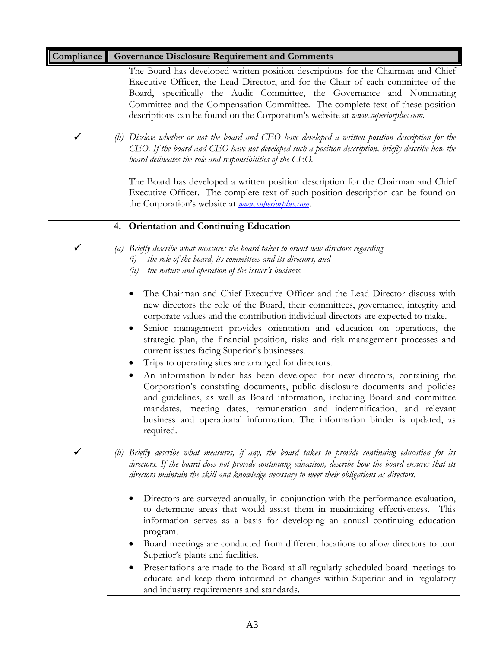| Compliance   | <b>Governance Disclosure Requirement and Comments</b>                                                                                                                                                                                                                                                                                                                                                                                                                                                                                                                                                                                                                                                                                                                                                                                                                                                                                                      |
|--------------|------------------------------------------------------------------------------------------------------------------------------------------------------------------------------------------------------------------------------------------------------------------------------------------------------------------------------------------------------------------------------------------------------------------------------------------------------------------------------------------------------------------------------------------------------------------------------------------------------------------------------------------------------------------------------------------------------------------------------------------------------------------------------------------------------------------------------------------------------------------------------------------------------------------------------------------------------------|
|              | The Board has developed written position descriptions for the Chairman and Chief<br>Executive Officer, the Lead Director, and for the Chair of each committee of the<br>Board, specifically the Audit Committee, the Governance and Nominating<br>Committee and the Compensation Committee. The complete text of these position<br>descriptions can be found on the Corporation's website at www.superiorplus.com.                                                                                                                                                                                                                                                                                                                                                                                                                                                                                                                                         |
| $\checkmark$ | Disclose whether or not the board and CEO have developed a written position description for the<br>(b)<br>CEO. If the board and CEO have not developed such a position description, briefly describe how the<br>board delineates the role and responsibilities of the $EO$ .                                                                                                                                                                                                                                                                                                                                                                                                                                                                                                                                                                                                                                                                               |
|              | The Board has developed a written position description for the Chairman and Chief<br>Executive Officer. The complete text of such position description can be found on<br>the Corporation's website at <i>www.superiorplus.com</i> .                                                                                                                                                                                                                                                                                                                                                                                                                                                                                                                                                                                                                                                                                                                       |
|              | 4. Orientation and Continuing Education                                                                                                                                                                                                                                                                                                                                                                                                                                                                                                                                                                                                                                                                                                                                                                                                                                                                                                                    |
|              | Briefly describe what measures the board takes to orient new directors regarding<br>(a)<br>the role of the board, its committees and its directors, and<br>(i)<br>the nature and operation of the issuer's business.<br>(ii)                                                                                                                                                                                                                                                                                                                                                                                                                                                                                                                                                                                                                                                                                                                               |
|              | The Chairman and Chief Executive Officer and the Lead Director discuss with<br>new directors the role of the Board, their committees, governance, integrity and<br>corporate values and the contribution individual directors are expected to make.<br>Senior management provides orientation and education on operations, the<br>strategic plan, the financial position, risks and risk management processes and<br>current issues facing Superior's businesses.<br>Trips to operating sites are arranged for directors.<br>An information binder has been developed for new directors, containing the<br>$\bullet$<br>Corporation's constating documents, public disclosure documents and policies<br>and guidelines, as well as Board information, including Board and committee<br>mandates, meeting dates, remuneration and indemnification, and relevant<br>business and operational information. The information binder is updated, as<br>required. |
| ✔            | Briefly describe what measures, if any, the board takes to provide continuing education for its<br>(b)<br>directors. If the board does not provide continuing education, describe how the board ensures that its<br>directors maintain the skill and knowledge necessary to meet their obligations as directors.                                                                                                                                                                                                                                                                                                                                                                                                                                                                                                                                                                                                                                           |
|              | Directors are surveyed annually, in conjunction with the performance evaluation,<br>to determine areas that would assist them in maximizing effectiveness. This<br>information serves as a basis for developing an annual continuing education<br>program.<br>Board meetings are conducted from different locations to allow directors to tour<br>Superior's plants and facilities.<br>Presentations are made to the Board at all regularly scheduled board meetings to<br>educate and keep them informed of changes within Superior and in regulatory                                                                                                                                                                                                                                                                                                                                                                                                     |
|              | and industry requirements and standards.                                                                                                                                                                                                                                                                                                                                                                                                                                                                                                                                                                                                                                                                                                                                                                                                                                                                                                                   |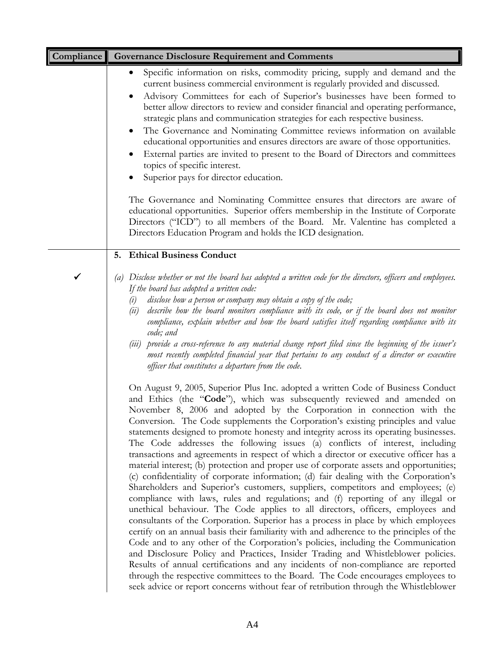| Compliance | <b>Governance Disclosure Requirement and Comments</b>                                                                                                                                                                                                                                                                                                                                                                                                                                                                                                                                                                                                                                                                                                                                                                                                                                                                                                                                                                                                                                                                                                                                                                                                                                                                                                                                                                                                                                                                                                                                                                                                                 |
|------------|-----------------------------------------------------------------------------------------------------------------------------------------------------------------------------------------------------------------------------------------------------------------------------------------------------------------------------------------------------------------------------------------------------------------------------------------------------------------------------------------------------------------------------------------------------------------------------------------------------------------------------------------------------------------------------------------------------------------------------------------------------------------------------------------------------------------------------------------------------------------------------------------------------------------------------------------------------------------------------------------------------------------------------------------------------------------------------------------------------------------------------------------------------------------------------------------------------------------------------------------------------------------------------------------------------------------------------------------------------------------------------------------------------------------------------------------------------------------------------------------------------------------------------------------------------------------------------------------------------------------------------------------------------------------------|
|            | Specific information on risks, commodity pricing, supply and demand and the<br>٠<br>current business commercial environment is regularly provided and discussed.<br>Advisory Committees for each of Superior's businesses have been formed to<br>better allow directors to review and consider financial and operating performance,<br>strategic plans and communication strategies for each respective business.<br>The Governance and Nominating Committee reviews information on available<br>educational opportunities and ensures directors are aware of those opportunities.<br>External parties are invited to present to the Board of Directors and committees<br>topics of specific interest.<br>Superior pays for director education.<br>The Governance and Nominating Committee ensures that directors are aware of<br>educational opportunities. Superior offers membership in the Institute of Corporate<br>Directors ("ICD") to all members of the Board. Mr. Valentine has completed a<br>Directors Education Program and holds the ICD designation.                                                                                                                                                                                                                                                                                                                                                                                                                                                                                                                                                                                                   |
|            | 5. Ethical Business Conduct                                                                                                                                                                                                                                                                                                                                                                                                                                                                                                                                                                                                                                                                                                                                                                                                                                                                                                                                                                                                                                                                                                                                                                                                                                                                                                                                                                                                                                                                                                                                                                                                                                           |
| ✓          | Disclose whether or not the board has adopted a written code for the directors, officers and employees.<br>(a)<br>If the board has adopted a written code:<br>disclose how a person or company may obtain a copy of the code;<br>(i)<br>describe how the board monitors compliance with its code, or if the board does not monitor<br>(ii)<br>compliance, explain whether and how the board satisfies itself regarding compliance with its<br>code; and<br>provide a cross-reference to any material change report filed since the beginning of the issuer's<br>(iii)<br>most recently completed financial year that pertains to any conduct of a director or executive<br>officer that constitutes a departure from the code.                                                                                                                                                                                                                                                                                                                                                                                                                                                                                                                                                                                                                                                                                                                                                                                                                                                                                                                                        |
|            | On August 9, 2005, Superior Plus Inc. adopted a written Code of Business Conduct<br>and Ethics (the "Code"), which was subsequently reviewed and amended on<br>November 8, 2006 and adopted by the Corporation in connection with the<br>Conversion. The Code supplements the Corporation's existing principles and value<br>statements designed to promote honesty and integrity across its operating businesses.<br>The Code addresses the following issues (a) conflicts of interest, including<br>transactions and agreements in respect of which a director or executive officer has a<br>material interest; (b) protection and proper use of corporate assets and opportunities;<br>(c) confidentiality of corporate information; (d) fair dealing with the Corporation's<br>Shareholders and Superior's customers, suppliers, competitors and employees; (e)<br>compliance with laws, rules and regulations; and (f) reporting of any illegal or<br>unethical behaviour. The Code applies to all directors, officers, employees and<br>consultants of the Corporation. Superior has a process in place by which employees<br>certify on an annual basis their familiarity with and adherence to the principles of the<br>Code and to any other of the Corporation's policies, including the Communication<br>and Disclosure Policy and Practices, Insider Trading and Whistleblower policies.<br>Results of annual certifications and any incidents of non-compliance are reported<br>through the respective committees to the Board. The Code encourages employees to<br>seek advice or report concerns without fear of retribution through the Whistleblower |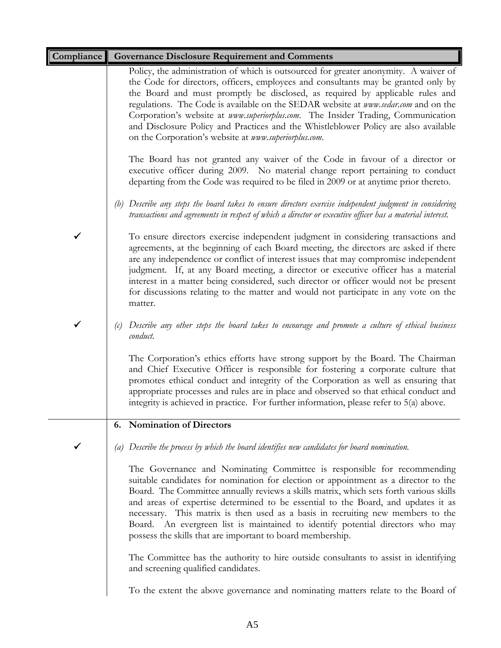| Compliance | <b>Governance Disclosure Requirement and Comments</b>                                                                                                                                                                                                                                                                                                                                                                                                                                                                                                                                   |
|------------|-----------------------------------------------------------------------------------------------------------------------------------------------------------------------------------------------------------------------------------------------------------------------------------------------------------------------------------------------------------------------------------------------------------------------------------------------------------------------------------------------------------------------------------------------------------------------------------------|
|            | Policy, the administration of which is outsourced for greater anonymity. A waiver of<br>the Code for directors, officers, employees and consultants may be granted only by<br>the Board and must promptly be disclosed, as required by applicable rules and<br>regulations. The Code is available on the SEDAR website at www.sedar.com and on the<br>Corporation's website at www.superiorplus.com. The Insider Trading, Communication<br>and Disclosure Policy and Practices and the Whistleblower Policy are also available<br>on the Corporation's website at www.superiorplus.com. |
|            | The Board has not granted any waiver of the Code in favour of a director or<br>executive officer during 2009. No material change report pertaining to conduct<br>departing from the Code was required to be filed in 2009 or at anytime prior thereto.                                                                                                                                                                                                                                                                                                                                  |
|            | (b) Describe any steps the board takes to ensure directors exercise independent judgment in considering<br>transactions and agreements in respect of which a director or executive officer has a material interest.                                                                                                                                                                                                                                                                                                                                                                     |
|            | To ensure directors exercise independent judgment in considering transactions and<br>agreements, at the beginning of each Board meeting, the directors are asked if there<br>are any independence or conflict of interest issues that may compromise independent<br>judgment. If, at any Board meeting, a director or executive officer has a material<br>interest in a matter being considered, such director or officer would not be present<br>for discussions relating to the matter and would not participate in any vote on the<br>matter.                                        |
|            | Describe any other steps the board takes to encourage and promote a culture of ethical business<br>(c)<br>conduct.                                                                                                                                                                                                                                                                                                                                                                                                                                                                      |
|            | The Corporation's ethics efforts have strong support by the Board. The Chairman<br>and Chief Executive Officer is responsible for fostering a corporate culture that<br>promotes ethical conduct and integrity of the Corporation as well as ensuring that<br>appropriate processes and rules are in place and observed so that ethical conduct and<br>integrity is achieved in practice. For further information, please refer to 5(a) above.                                                                                                                                          |
|            | <b>Nomination of Directors</b><br>6.                                                                                                                                                                                                                                                                                                                                                                                                                                                                                                                                                    |
|            | Describe the process by which the board identifies new candidates for board nomination.<br>(a)                                                                                                                                                                                                                                                                                                                                                                                                                                                                                          |
|            | The Governance and Nominating Committee is responsible for recommending<br>suitable candidates for nomination for election or appointment as a director to the<br>Board. The Committee annually reviews a skills matrix, which sets forth various skills<br>and areas of expertise determined to be essential to the Board, and updates it as<br>necessary. This matrix is then used as a basis in recruiting new members to the<br>Board. An evergreen list is maintained to identify potential directors who may<br>possess the skills that are important to board membership.        |
|            | The Committee has the authority to hire outside consultants to assist in identifying<br>and screening qualified candidates.                                                                                                                                                                                                                                                                                                                                                                                                                                                             |
|            | To the extent the above governance and nominating matters relate to the Board of                                                                                                                                                                                                                                                                                                                                                                                                                                                                                                        |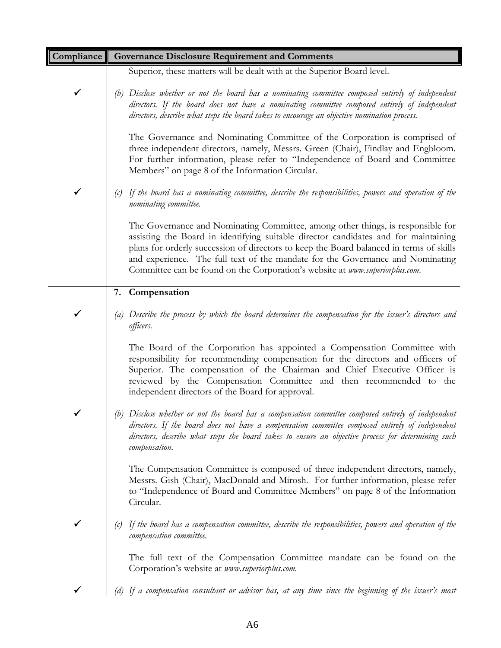| Compliance   | <b>Governance Disclosure Requirement and Comments</b>                                                                                                                                                                                                                                                                                                                                                                               |
|--------------|-------------------------------------------------------------------------------------------------------------------------------------------------------------------------------------------------------------------------------------------------------------------------------------------------------------------------------------------------------------------------------------------------------------------------------------|
|              | Superior, these matters will be dealt with at the Superior Board level.                                                                                                                                                                                                                                                                                                                                                             |
| $\checkmark$ | (b) Disclose whether or not the board has a nominating committee composed entirely of independent<br>directors. If the board does not have a nominating committee composed entirely of independent<br>directors, describe what steps the board takes to encourage an objective nomination process.                                                                                                                                  |
|              | The Governance and Nominating Committee of the Corporation is comprised of<br>three independent directors, namely, Messrs. Green (Chair), Findlay and Engbloom.<br>For further information, please refer to "Independence of Board and Committee<br>Members" on page 8 of the Information Circular.                                                                                                                                 |
|              | If the board has a nominating committee, describe the responsibilities, powers and operation of the<br>(c)<br>nominating committee.                                                                                                                                                                                                                                                                                                 |
|              | The Governance and Nominating Committee, among other things, is responsible for<br>assisting the Board in identifying suitable director candidates and for maintaining<br>plans for orderly succession of directors to keep the Board balanced in terms of skills<br>and experience. The full text of the mandate for the Governance and Nominating<br>Committee can be found on the Corporation's website at www.superiorplus.com. |
|              | 7. Compensation                                                                                                                                                                                                                                                                                                                                                                                                                     |
|              | (a) Describe the process by which the board determines the compensation for the issuer's directors and<br>officers.                                                                                                                                                                                                                                                                                                                 |
|              | The Board of the Corporation has appointed a Compensation Committee with<br>responsibility for recommending compensation for the directors and officers of<br>Superior. The compensation of the Chairman and Chief Executive Officer is<br>reviewed by the Compensation Committee and then recommended to the<br>independent directors of the Board for approval.                                                                   |
|              | (b) Disclose whether or not the board has a compensation committee composed entirely of independent<br>directors. If the board does not have a compensation committee composed entirely of independent<br>directors, describe what steps the board takes to ensure an objective process for determining such<br>compensation.                                                                                                       |
|              | The Compensation Committee is composed of three independent directors, namely,<br>Messrs. Gish (Chair), MacDonald and Mirosh. For further information, please refer<br>to "Independence of Board and Committee Members" on page 8 of the Information<br>Circular.                                                                                                                                                                   |
|              | If the board has a compensation committee, describe the responsibilities, powers and operation of the<br>compensation committee.                                                                                                                                                                                                                                                                                                    |
|              | The full text of the Compensation Committee mandate can be found on the<br>Corporation's website at www.superiorplus.com.                                                                                                                                                                                                                                                                                                           |
|              | (d) If a compensation consultant or advisor has, at any time since the beginning of the issuer's most                                                                                                                                                                                                                                                                                                                               |